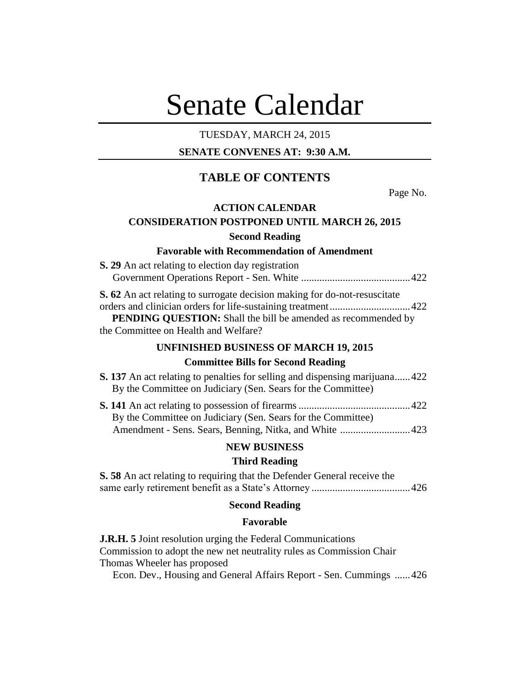# Senate Calendar

## TUESDAY, MARCH 24, 2015

## **SENATE CONVENES AT: 9:30 A.M.**

# **TABLE OF CONTENTS**

Page No.

## **ACTION CALENDAR**

# **CONSIDERATION POSTPONED UNTIL MARCH 26, 2015 Second Reading**

#### **Favorable with Recommendation of Amendment**

| <b>S. 29</b> An act relating to election day registration                 |  |
|---------------------------------------------------------------------------|--|
|                                                                           |  |
| S. 62 An act relating to surrogate decision making for do-not-resuscitate |  |
|                                                                           |  |
| PENDING QUESTION: Shall the bill be amended as recommended by             |  |
| the Committee on Health and Welfare?                                      |  |

#### **UNFINISHED BUSINESS OF MARCH 19, 2015**

## **Committee Bills for Second Reading**

| <b>S. 137</b> An act relating to penalties for selling and dispensing marijuana422 |  |
|------------------------------------------------------------------------------------|--|
| By the Committee on Judiciary (Sen. Sears for the Committee)                       |  |
| $\mathcal{C}$ 141 A $\ldots$ is the set of $\mathcal{C}$                           |  |

| By the Committee on Judiciary (Sen. Sears for the Committee) |  |
|--------------------------------------------------------------|--|
|                                                              |  |

#### **NEW BUSINESS**

## **Third Reading**

**S. 58** An act relating to requiring that the Defender General receive the same early retirement benefit as a State's Attorney ......................................426

## **Second Reading**

#### **Favorable**

**J.R.H. 5** Joint resolution urging the Federal Communications Commission to adopt the new net neutrality rules as Commission Chair Thomas Wheeler has proposed

Econ. Dev., Housing and General Affairs Report - Sen. Cummings ......426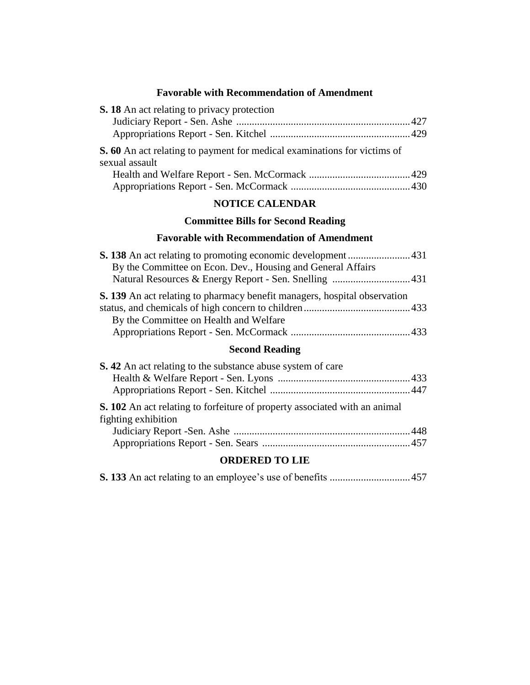## **Favorable with Recommendation of Amendment**

| S. 18 An act relating to privacy protection                                                       |  |
|---------------------------------------------------------------------------------------------------|--|
|                                                                                                   |  |
|                                                                                                   |  |
| <b>S. 60</b> An act relating to payment for medical examinations for victims of<br>sexual assault |  |
|                                                                                                   |  |
|                                                                                                   |  |
| <b>NOTICE CALENDAR</b>                                                                            |  |

# **Committee Bills for Second Reading**

# **Favorable with Recommendation of Amendment**

| By the Committee on Econ. Dev., Housing and General Affairs                      |  |
|----------------------------------------------------------------------------------|--|
|                                                                                  |  |
| <b>S. 139</b> An act relating to pharmacy benefit managers, hospital observation |  |
|                                                                                  |  |
| By the Committee on Health and Welfare                                           |  |
|                                                                                  |  |
|                                                                                  |  |

# **Second Reading**

| <b>S.</b> 42 An act relating to the substance abuse system of care                                       |  |
|----------------------------------------------------------------------------------------------------------|--|
|                                                                                                          |  |
|                                                                                                          |  |
| <b>S. 102</b> An act relating to forfeiture of property associated with an animal<br>fighting exhibition |  |
|                                                                                                          |  |
|                                                                                                          |  |

# **ORDERED TO LIE**

|--|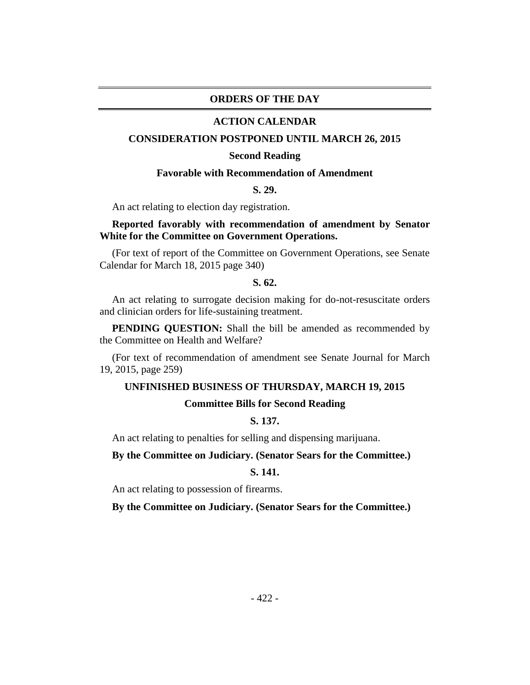#### **ORDERS OF THE DAY**

#### **ACTION CALENDAR**

#### **CONSIDERATION POSTPONED UNTIL MARCH 26, 2015**

#### **Second Reading**

#### **Favorable with Recommendation of Amendment**

#### **S. 29.**

An act relating to election day registration.

## **Reported favorably with recommendation of amendment by Senator White for the Committee on Government Operations.**

(For text of report of the Committee on Government Operations, see Senate Calendar for March 18, 2015 page 340)

#### **S. 62.**

An act relating to surrogate decision making for do-not-resuscitate orders and clinician orders for life-sustaining treatment.

**PENDING QUESTION:** Shall the bill be amended as recommended by the Committee on Health and Welfare?

(For text of recommendation of amendment see Senate Journal for March 19, 2015, page 259)

#### **UNFINISHED BUSINESS OF THURSDAY, MARCH 19, 2015**

#### **Committee Bills for Second Reading**

## **S. 137.**

An act relating to penalties for selling and dispensing marijuana.

#### **By the Committee on Judiciary. (Senator Sears for the Committee.)**

## **S. 141.**

An act relating to possession of firearms.

**By the Committee on Judiciary. (Senator Sears for the Committee.)**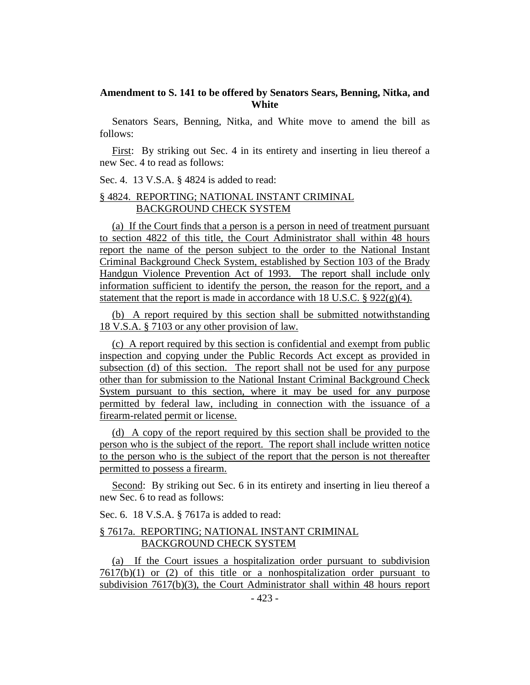## **Amendment to S. 141 to be offered by Senators Sears, Benning, Nitka, and White**

Senators Sears, Benning, Nitka, and White move to amend the bill as follows:

First: By striking out Sec. 4 in its entirety and inserting in lieu thereof a new Sec. 4 to read as follows:

Sec. 4. 13 V.S.A. § 4824 is added to read:

## § 4824. REPORTING; NATIONAL INSTANT CRIMINAL BACKGROUND CHECK SYSTEM

(a) If the Court finds that a person is a person in need of treatment pursuant to section 4822 of this title, the Court Administrator shall within 48 hours report the name of the person subject to the order to the National Instant Criminal Background Check System, established by Section 103 of the Brady Handgun Violence Prevention Act of 1993. The report shall include only information sufficient to identify the person, the reason for the report, and a statement that the report is made in accordance with 18 U.S.C.  $\S 922(g)(4)$ .

(b) A report required by this section shall be submitted notwithstanding 18 V.S.A. § 7103 or any other provision of law.

(c) A report required by this section is confidential and exempt from public inspection and copying under the Public Records Act except as provided in subsection (d) of this section. The report shall not be used for any purpose other than for submission to the National Instant Criminal Background Check System pursuant to this section, where it may be used for any purpose permitted by federal law, including in connection with the issuance of a firearm-related permit or license.

(d) A copy of the report required by this section shall be provided to the person who is the subject of the report. The report shall include written notice to the person who is the subject of the report that the person is not thereafter permitted to possess a firearm.

Second: By striking out Sec. 6 in its entirety and inserting in lieu thereof a new Sec. 6 to read as follows:

Sec. 6. 18 V.S.A. § 7617a is added to read:

#### § 7617a. REPORTING; NATIONAL INSTANT CRIMINAL BACKGROUND CHECK SYSTEM

(a) If the Court issues a hospitalization order pursuant to subdivision  $7617(b)(1)$  or (2) of this title or a nonhospitalization order pursuant to subdivision 7617(b)(3), the Court Administrator shall within 48 hours report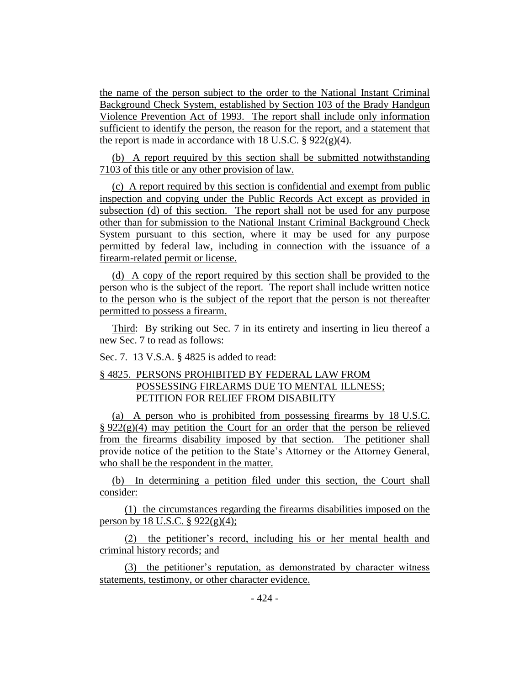the name of the person subject to the order to the National Instant Criminal Background Check System, established by Section 103 of the Brady Handgun Violence Prevention Act of 1993. The report shall include only information sufficient to identify the person, the reason for the report, and a statement that the report is made in accordance with 18 U.S.C.  $\S 922(g)(4)$ .

(b) A report required by this section shall be submitted notwithstanding 7103 of this title or any other provision of law.

(c) A report required by this section is confidential and exempt from public inspection and copying under the Public Records Act except as provided in subsection (d) of this section. The report shall not be used for any purpose other than for submission to the National Instant Criminal Background Check System pursuant to this section, where it may be used for any purpose permitted by federal law, including in connection with the issuance of a firearm-related permit or license.

(d) A copy of the report required by this section shall be provided to the person who is the subject of the report. The report shall include written notice to the person who is the subject of the report that the person is not thereafter permitted to possess a firearm.

Third: By striking out Sec. 7 in its entirety and inserting in lieu thereof a new Sec. 7 to read as follows:

Sec. 7. 13 V.S.A. § 4825 is added to read:

## § 4825. PERSONS PROHIBITED BY FEDERAL LAW FROM POSSESSING FIREARMS DUE TO MENTAL ILLNESS; PETITION FOR RELIEF FROM DISABILITY

(a) A person who is prohibited from possessing firearms by 18 U.S.C.  $\S 922(g)(4)$  may petition the Court for an order that the person be relieved from the firearms disability imposed by that section. The petitioner shall provide notice of the petition to the State's Attorney or the Attorney General, who shall be the respondent in the matter.

(b) In determining a petition filed under this section, the Court shall consider:

(1) the circumstances regarding the firearms disabilities imposed on the person by 18 U.S.C.  $\S 922(g)(4)$ ;

(2) the petitioner's record, including his or her mental health and criminal history records; and

(3) the petitioner's reputation, as demonstrated by character witness statements, testimony, or other character evidence.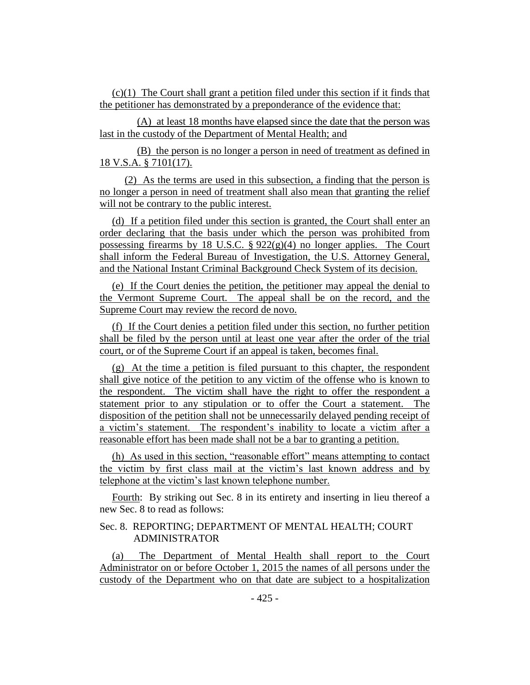(c)(1) The Court shall grant a petition filed under this section if it finds that the petitioner has demonstrated by a preponderance of the evidence that:

(A) at least 18 months have elapsed since the date that the person was last in the custody of the Department of Mental Health; and

(B) the person is no longer a person in need of treatment as defined in 18 V.S.A. § 7101(17).

(2) As the terms are used in this subsection, a finding that the person is no longer a person in need of treatment shall also mean that granting the relief will not be contrary to the public interest.

(d) If a petition filed under this section is granted, the Court shall enter an order declaring that the basis under which the person was prohibited from possessing firearms by 18 U.S.C.  $\S 922(g)(4)$  no longer applies. The Court shall inform the Federal Bureau of Investigation, the U.S. Attorney General, and the National Instant Criminal Background Check System of its decision.

(e) If the Court denies the petition, the petitioner may appeal the denial to the Vermont Supreme Court. The appeal shall be on the record, and the Supreme Court may review the record de novo.

(f) If the Court denies a petition filed under this section, no further petition shall be filed by the person until at least one year after the order of the trial court, or of the Supreme Court if an appeal is taken, becomes final.

(g) At the time a petition is filed pursuant to this chapter, the respondent shall give notice of the petition to any victim of the offense who is known to the respondent. The victim shall have the right to offer the respondent a statement prior to any stipulation or to offer the Court a statement. The disposition of the petition shall not be unnecessarily delayed pending receipt of a victim's statement. The respondent's inability to locate a victim after a reasonable effort has been made shall not be a bar to granting a petition.

(h) As used in this section, "reasonable effort" means attempting to contact the victim by first class mail at the victim's last known address and by telephone at the victim's last known telephone number.

Fourth: By striking out Sec. 8 in its entirety and inserting in lieu thereof a new Sec. 8 to read as follows:

## Sec. 8. REPORTING; DEPARTMENT OF MENTAL HEALTH; COURT ADMINISTRATOR

(a) The Department of Mental Health shall report to the Court Administrator on or before October 1, 2015 the names of all persons under the custody of the Department who on that date are subject to a hospitalization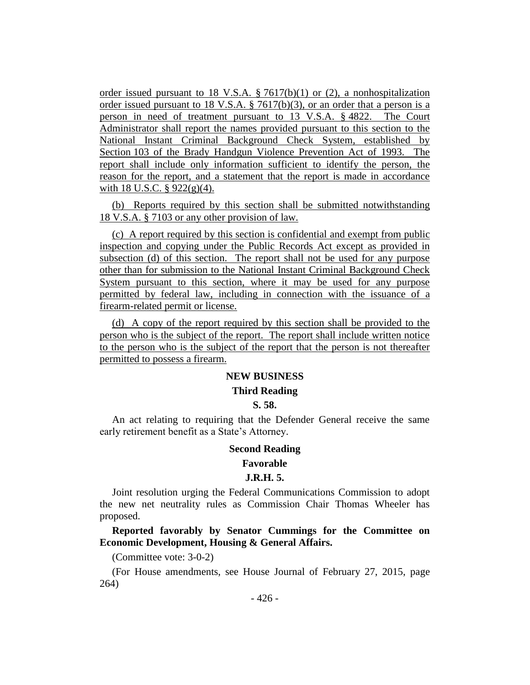order issued pursuant to 18 V.S.A. § 7617(b)(1) or (2), a nonhospitalization order issued pursuant to 18 V.S.A. § 7617(b)(3), or an order that a person is a person in need of treatment pursuant to 13 V.S.A. § 4822. The Court Administrator shall report the names provided pursuant to this section to the National Instant Criminal Background Check System, established by Section 103 of the Brady Handgun Violence Prevention Act of 1993. The report shall include only information sufficient to identify the person, the reason for the report, and a statement that the report is made in accordance with 18 U.S.C.  $\S$  922(g)(4).

(b) Reports required by this section shall be submitted notwithstanding 18 V.S.A. § 7103 or any other provision of law.

(c) A report required by this section is confidential and exempt from public inspection and copying under the Public Records Act except as provided in subsection (d) of this section. The report shall not be used for any purpose other than for submission to the National Instant Criminal Background Check System pursuant to this section, where it may be used for any purpose permitted by federal law, including in connection with the issuance of a firearm-related permit or license.

(d) A copy of the report required by this section shall be provided to the person who is the subject of the report. The report shall include written notice to the person who is the subject of the report that the person is not thereafter permitted to possess a firearm.

## **NEW BUSINESS**

## **Third Reading**

#### **S. 58.**

An act relating to requiring that the Defender General receive the same early retirement benefit as a State's Attorney.

#### **Second Reading**

#### **Favorable**

#### **J.R.H. 5.**

Joint resolution urging the Federal Communications Commission to adopt the new net neutrality rules as Commission Chair Thomas Wheeler has proposed.

**Reported favorably by Senator Cummings for the Committee on Economic Development, Housing & General Affairs.**

(Committee vote: 3-0-2)

(For House amendments, see House Journal of February 27, 2015, page 264)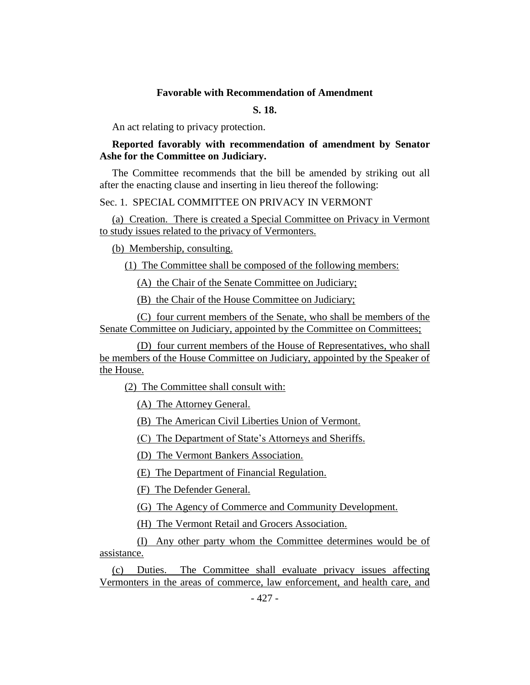#### **Favorable with Recommendation of Amendment**

## **S. 18.**

An act relating to privacy protection.

## **Reported favorably with recommendation of amendment by Senator Ashe for the Committee on Judiciary.**

The Committee recommends that the bill be amended by striking out all after the enacting clause and inserting in lieu thereof the following:

## Sec. 1. SPECIAL COMMITTEE ON PRIVACY IN VERMONT

(a) Creation. There is created a Special Committee on Privacy in Vermont to study issues related to the privacy of Vermonters.

(b) Membership, consulting.

(1) The Committee shall be composed of the following members:

(A) the Chair of the Senate Committee on Judiciary;

(B) the Chair of the House Committee on Judiciary;

(C) four current members of the Senate, who shall be members of the Senate Committee on Judiciary, appointed by the Committee on Committees;

(D) four current members of the House of Representatives, who shall be members of the House Committee on Judiciary, appointed by the Speaker of the House.

(2) The Committee shall consult with:

(A) The Attorney General.

(B) The American Civil Liberties Union of Vermont.

(C) The Department of State's Attorneys and Sheriffs.

(D) The Vermont Bankers Association.

(E) The Department of Financial Regulation.

(F) The Defender General.

(G) The Agency of Commerce and Community Development.

(H) The Vermont Retail and Grocers Association.

(I) Any other party whom the Committee determines would be of assistance.

(c) Duties. The Committee shall evaluate privacy issues affecting Vermonters in the areas of commerce, law enforcement, and health care, and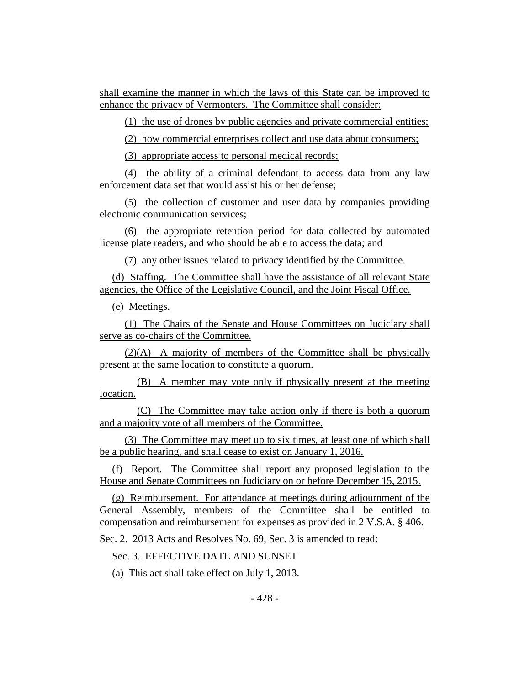shall examine the manner in which the laws of this State can be improved to enhance the privacy of Vermonters. The Committee shall consider:

(1) the use of drones by public agencies and private commercial entities;

(2) how commercial enterprises collect and use data about consumers;

(3) appropriate access to personal medical records;

(4) the ability of a criminal defendant to access data from any law enforcement data set that would assist his or her defense;

(5) the collection of customer and user data by companies providing electronic communication services;

(6) the appropriate retention period for data collected by automated license plate readers, and who should be able to access the data; and

(7) any other issues related to privacy identified by the Committee.

(d) Staffing. The Committee shall have the assistance of all relevant State agencies, the Office of the Legislative Council, and the Joint Fiscal Office.

(e) Meetings.

(1) The Chairs of the Senate and House Committees on Judiciary shall serve as co-chairs of the Committee.

(2)(A) A majority of members of the Committee shall be physically present at the same location to constitute a quorum.

(B) A member may vote only if physically present at the meeting location.

(C) The Committee may take action only if there is both a quorum and a majority vote of all members of the Committee.

(3) The Committee may meet up to six times, at least one of which shall be a public hearing, and shall cease to exist on January 1, 2016.

(f) Report. The Committee shall report any proposed legislation to the House and Senate Committees on Judiciary on or before December 15, 2015.

(g) Reimbursement. For attendance at meetings during adjournment of the General Assembly, members of the Committee shall be entitled to compensation and reimbursement for expenses as provided in 2 V.S.A. § 406.

Sec. 2. 2013 Acts and Resolves No. 69, Sec. 3 is amended to read:

Sec. 3. EFFECTIVE DATE AND SUNSET

(a) This act shall take effect on July 1, 2013.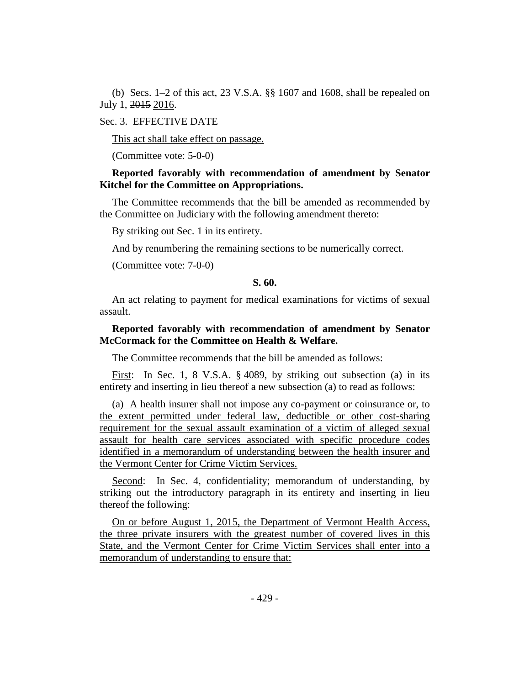(b) Secs. 1–2 of this act, 23 V.S.A. §§ 1607 and 1608, shall be repealed on July 1, 2015 2016.

#### Sec. 3. EFFECTIVE DATE

This act shall take effect on passage.

(Committee vote: 5-0-0)

## **Reported favorably with recommendation of amendment by Senator Kitchel for the Committee on Appropriations.**

The Committee recommends that the bill be amended as recommended by the Committee on Judiciary with the following amendment thereto:

By striking out Sec. 1 in its entirety.

And by renumbering the remaining sections to be numerically correct.

(Committee vote: 7-0-0)

## **S. 60.**

An act relating to payment for medical examinations for victims of sexual assault.

## **Reported favorably with recommendation of amendment by Senator McCormack for the Committee on Health & Welfare.**

The Committee recommends that the bill be amended as follows:

First: In Sec. 1, 8 V.S.A. § 4089, by striking out subsection (a) in its entirety and inserting in lieu thereof a new subsection (a) to read as follows:

(a) A health insurer shall not impose any co-payment or coinsurance or, to the extent permitted under federal law, deductible or other cost-sharing requirement for the sexual assault examination of a victim of alleged sexual assault for health care services associated with specific procedure codes identified in a memorandum of understanding between the health insurer and the Vermont Center for Crime Victim Services.

Second: In Sec. 4, confidentiality; memorandum of understanding, by striking out the introductory paragraph in its entirety and inserting in lieu thereof the following:

On or before August 1, 2015, the Department of Vermont Health Access, the three private insurers with the greatest number of covered lives in this State, and the Vermont Center for Crime Victim Services shall enter into a memorandum of understanding to ensure that: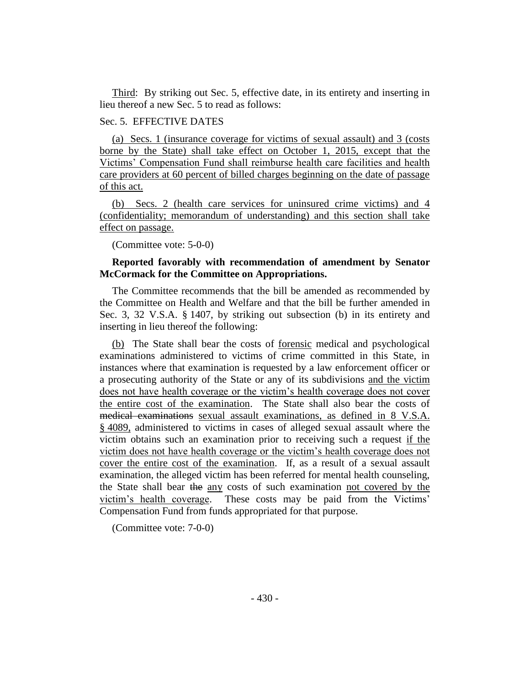Third: By striking out Sec. 5, effective date, in its entirety and inserting in lieu thereof a new Sec. 5 to read as follows:

#### Sec. 5. EFFECTIVE DATES

(a) Secs. 1 (insurance coverage for victims of sexual assault) and 3 (costs borne by the State) shall take effect on October 1, 2015, except that the Victims' Compensation Fund shall reimburse health care facilities and health care providers at 60 percent of billed charges beginning on the date of passage of this act.

(b) Secs. 2 (health care services for uninsured crime victims) and 4 (confidentiality; memorandum of understanding) and this section shall take effect on passage.

(Committee vote: 5-0-0)

## **Reported favorably with recommendation of amendment by Senator McCormack for the Committee on Appropriations.**

The Committee recommends that the bill be amended as recommended by the Committee on Health and Welfare and that the bill be further amended in Sec. 3, 32 V.S.A. § 1407, by striking out subsection (b) in its entirety and inserting in lieu thereof the following:

(b) The State shall bear the costs of forensic medical and psychological examinations administered to victims of crime committed in this State, in instances where that examination is requested by a law enforcement officer or a prosecuting authority of the State or any of its subdivisions and the victim does not have health coverage or the victim's health coverage does not cover the entire cost of the examination. The State shall also bear the costs of medical examinations sexual assault examinations, as defined in 8 V.S.A. § 4089, administered to victims in cases of alleged sexual assault where the victim obtains such an examination prior to receiving such a request if the victim does not have health coverage or the victim's health coverage does not cover the entire cost of the examination. If, as a result of a sexual assault examination, the alleged victim has been referred for mental health counseling, the State shall bear the any costs of such examination not covered by the victim's health coverage. These costs may be paid from the Victims' Compensation Fund from funds appropriated for that purpose.

(Committee vote: 7-0-0)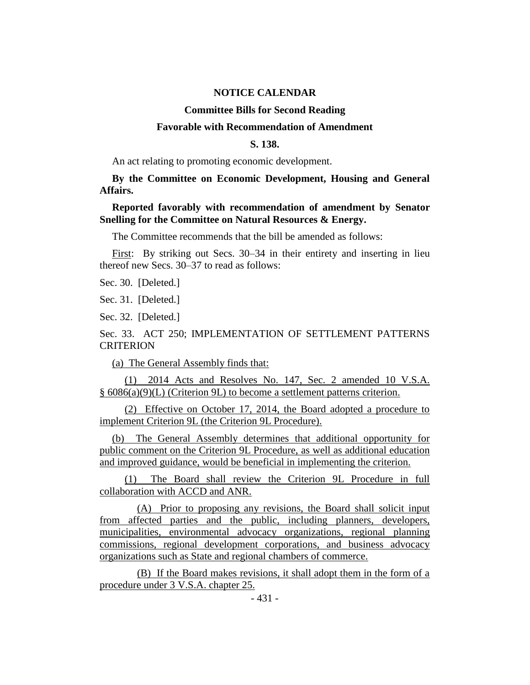#### **NOTICE CALENDAR**

#### **Committee Bills for Second Reading**

#### **Favorable with Recommendation of Amendment**

#### **S. 138.**

An act relating to promoting economic development.

**By the Committee on Economic Development, Housing and General Affairs.**

#### **Reported favorably with recommendation of amendment by Senator Snelling for the Committee on Natural Resources & Energy.**

The Committee recommends that the bill be amended as follows:

First: By striking out Secs. 30–34 in their entirety and inserting in lieu thereof new Secs. 30–37 to read as follows:

Sec. 30. [Deleted.]

Sec. 31. [Deleted.]

Sec. 32. [Deleted.]

## Sec. 33. ACT 250; IMPLEMENTATION OF SETTLEMENT PATTERNS **CRITERION**

(a) The General Assembly finds that:

(1) 2014 Acts and Resolves No. 147, Sec. 2 amended 10 V.S.A. § 6086(a)(9)(L) (Criterion 9L) to become a settlement patterns criterion.

(2) Effective on October 17, 2014, the Board adopted a procedure to implement Criterion 9L (the Criterion 9L Procedure).

(b) The General Assembly determines that additional opportunity for public comment on the Criterion 9L Procedure, as well as additional education and improved guidance, would be beneficial in implementing the criterion.

(1) The Board shall review the Criterion 9L Procedure in full collaboration with ACCD and ANR.

(A) Prior to proposing any revisions, the Board shall solicit input from affected parties and the public, including planners, developers, municipalities, environmental advocacy organizations, regional planning commissions, regional development corporations, and business advocacy organizations such as State and regional chambers of commerce.

(B) If the Board makes revisions, it shall adopt them in the form of a procedure under 3 V.S.A. chapter 25.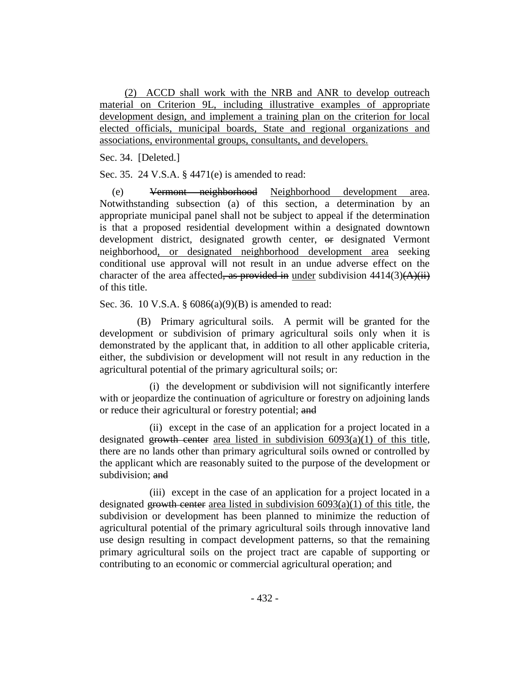(2) ACCD shall work with the NRB and ANR to develop outreach material on Criterion 9L, including illustrative examples of appropriate development design, and implement a training plan on the criterion for local elected officials, municipal boards, State and regional organizations and associations, environmental groups, consultants, and developers.

Sec. 34. [Deleted.]

Sec. 35. 24 V.S.A. § 4471(e) is amended to read:

(e) Vermont neighborhood Neighborhood development area. Notwithstanding subsection (a) of this section, a determination by an appropriate municipal panel shall not be subject to appeal if the determination is that a proposed residential development within a designated downtown development district, designated growth center, or designated Vermont neighborhood, or designated neighborhood development area seeking conditional use approval will not result in an undue adverse effect on the character of the area affected, as provided in under subdivision  $4414(3)(\overrightarrow{A})(i\overrightarrow{i})$ of this title.

Sec. 36. 10 V.S.A. § 6086(a)(9)(B) is amended to read:

(B) Primary agricultural soils. A permit will be granted for the development or subdivision of primary agricultural soils only when it is demonstrated by the applicant that, in addition to all other applicable criteria, either, the subdivision or development will not result in any reduction in the agricultural potential of the primary agricultural soils; or:

(i) the development or subdivision will not significantly interfere with or jeopardize the continuation of agriculture or forestry on adjoining lands or reduce their agricultural or forestry potential; and

(ii) except in the case of an application for a project located in a designated growth center area listed in subdivision  $6093(a)(1)$  of this title, there are no lands other than primary agricultural soils owned or controlled by the applicant which are reasonably suited to the purpose of the development or subdivision; and

(iii) except in the case of an application for a project located in a designated growth center area listed in subdivision  $6093(a)(1)$  of this title, the subdivision or development has been planned to minimize the reduction of agricultural potential of the primary agricultural soils through innovative land use design resulting in compact development patterns, so that the remaining primary agricultural soils on the project tract are capable of supporting or contributing to an economic or commercial agricultural operation; and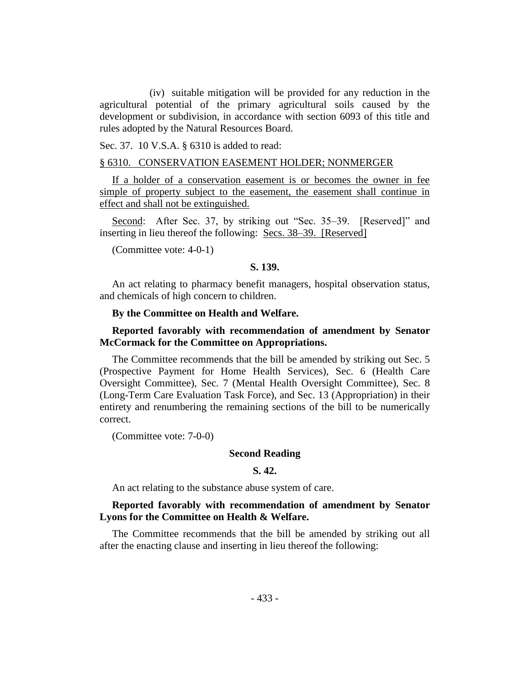(iv) suitable mitigation will be provided for any reduction in the agricultural potential of the primary agricultural soils caused by the development or subdivision, in accordance with section 6093 of this title and rules adopted by the Natural Resources Board.

Sec. 37. 10 V.S.A. § 6310 is added to read:

#### § 6310. CONSERVATION EASEMENT HOLDER; NONMERGER

If a holder of a conservation easement is or becomes the owner in fee simple of property subject to the easement, the easement shall continue in effect and shall not be extinguished.

Second: After Sec. 37, by striking out "Sec. 35–39. [Reserved]" and inserting in lieu thereof the following: Secs. 38–39. [Reserved]

(Committee vote: 4-0-1)

#### **S. 139.**

An act relating to pharmacy benefit managers, hospital observation status, and chemicals of high concern to children.

#### **By the Committee on Health and Welfare.**

## **Reported favorably with recommendation of amendment by Senator McCormack for the Committee on Appropriations.**

The Committee recommends that the bill be amended by striking out Sec. 5 (Prospective Payment for Home Health Services), Sec. 6 (Health Care Oversight Committee), Sec. 7 (Mental Health Oversight Committee), Sec. 8 (Long-Term Care Evaluation Task Force), and Sec. 13 (Appropriation) in their entirety and renumbering the remaining sections of the bill to be numerically correct.

(Committee vote: 7-0-0)

#### **Second Reading**

#### **S. 42.**

An act relating to the substance abuse system of care.

## **Reported favorably with recommendation of amendment by Senator Lyons for the Committee on Health & Welfare.**

The Committee recommends that the bill be amended by striking out all after the enacting clause and inserting in lieu thereof the following: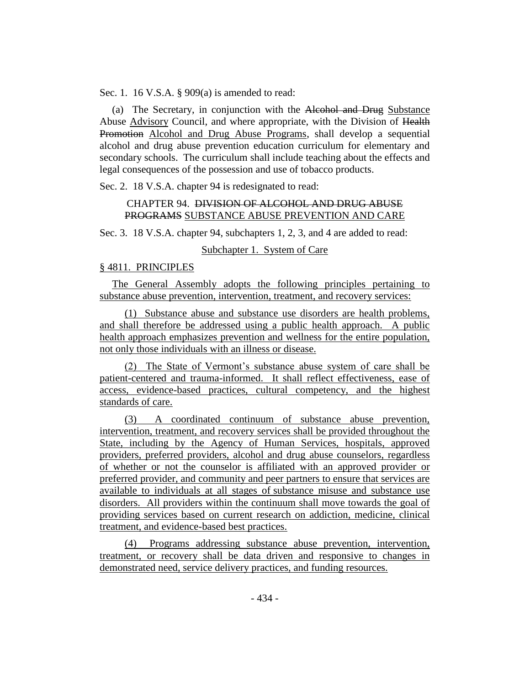Sec. 1. 16 V.S.A. § 909(a) is amended to read:

(a) The Secretary, in conjunction with the Alcohol and Drug Substance Abuse Advisory Council, and where appropriate, with the Division of Health Promotion Alcohol and Drug Abuse Programs, shall develop a sequential alcohol and drug abuse prevention education curriculum for elementary and secondary schools. The curriculum shall include teaching about the effects and legal consequences of the possession and use of tobacco products.

Sec. 2. 18 V.S.A. chapter 94 is redesignated to read:

## CHAPTER 94. DIVISION OF ALCOHOL AND DRUG ABUSE PROGRAMS SUBSTANCE ABUSE PREVENTION AND CARE

Sec. 3. 18 V.S.A. chapter 94, subchapters 1, 2, 3, and 4 are added to read:

## Subchapter 1. System of Care

## § 4811. PRINCIPLES

The General Assembly adopts the following principles pertaining to substance abuse prevention, intervention, treatment, and recovery services:

(1) Substance abuse and substance use disorders are health problems, and shall therefore be addressed using a public health approach. A public health approach emphasizes prevention and wellness for the entire population, not only those individuals with an illness or disease.

(2) The State of Vermont's substance abuse system of care shall be patient-centered and trauma-informed. It shall reflect effectiveness, ease of access, evidence-based practices, cultural competency, and the highest standards of care.

(3) A coordinated continuum of substance abuse prevention, intervention, treatment, and recovery services shall be provided throughout the State, including by the Agency of Human Services, hospitals, approved providers, preferred providers, alcohol and drug abuse counselors, regardless of whether or not the counselor is affiliated with an approved provider or preferred provider, and community and peer partners to ensure that services are available to individuals at all stages of substance misuse and substance use disorders. All providers within the continuum shall move towards the goal of providing services based on current research on addiction, medicine, clinical treatment, and evidence-based best practices.

(4) Programs addressing substance abuse prevention, intervention, treatment, or recovery shall be data driven and responsive to changes in demonstrated need, service delivery practices, and funding resources.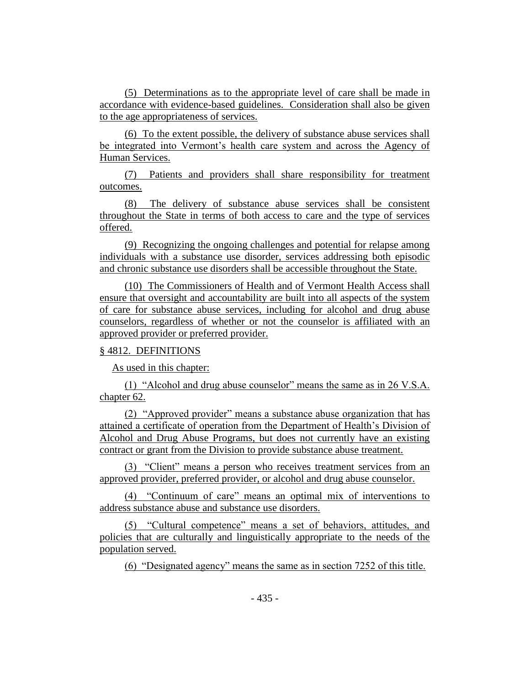(5) Determinations as to the appropriate level of care shall be made in accordance with evidence-based guidelines. Consideration shall also be given to the age appropriateness of services.

(6) To the extent possible, the delivery of substance abuse services shall be integrated into Vermont's health care system and across the Agency of Human Services.

(7) Patients and providers shall share responsibility for treatment outcomes.

(8) The delivery of substance abuse services shall be consistent throughout the State in terms of both access to care and the type of services offered.

(9) Recognizing the ongoing challenges and potential for relapse among individuals with a substance use disorder, services addressing both episodic and chronic substance use disorders shall be accessible throughout the State.

(10) The Commissioners of Health and of Vermont Health Access shall ensure that oversight and accountability are built into all aspects of the system of care for substance abuse services, including for alcohol and drug abuse counselors, regardless of whether or not the counselor is affiliated with an approved provider or preferred provider.

## § 4812. DEFINITIONS

As used in this chapter:

(1) "Alcohol and drug abuse counselor" means the same as in 26 V.S.A. chapter 62.

(2) "Approved provider" means a substance abuse organization that has attained a certificate of operation from the Department of Health's Division of Alcohol and Drug Abuse Programs, but does not currently have an existing contract or grant from the Division to provide substance abuse treatment.

(3) "Client" means a person who receives treatment services from an approved provider, preferred provider, or alcohol and drug abuse counselor.

(4) "Continuum of care" means an optimal mix of interventions to address substance abuse and substance use disorders.

(5) "Cultural competence" means a set of behaviors, attitudes, and policies that are culturally and linguistically appropriate to the needs of the population served.

(6) "Designated agency" means the same as in section 7252 of this title.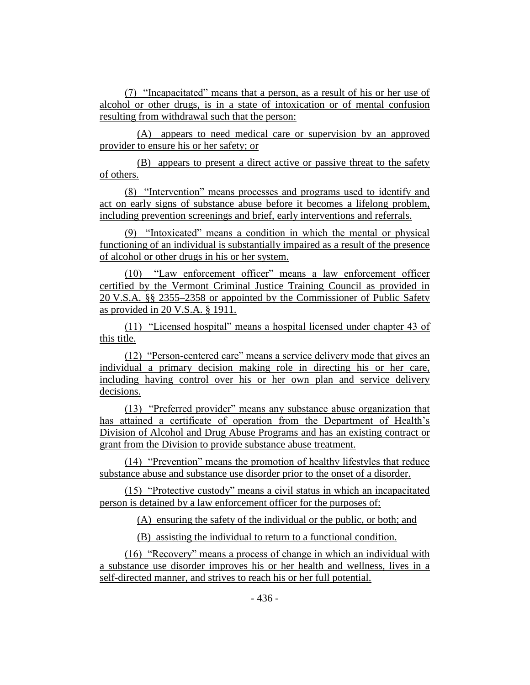(7) "Incapacitated" means that a person, as a result of his or her use of alcohol or other drugs, is in a state of intoxication or of mental confusion resulting from withdrawal such that the person:

(A) appears to need medical care or supervision by an approved provider to ensure his or her safety; or

(B) appears to present a direct active or passive threat to the safety of others.

(8) "Intervention" means processes and programs used to identify and act on early signs of substance abuse before it becomes a lifelong problem, including prevention screenings and brief, early interventions and referrals.

(9) "Intoxicated" means a condition in which the mental or physical functioning of an individual is substantially impaired as a result of the presence of alcohol or other drugs in his or her system.

(10) "Law enforcement officer" means a law enforcement officer certified by the Vermont Criminal Justice Training Council as provided in 20 V.S.A. §§ 2355–2358 or appointed by the Commissioner of Public Safety as provided in 20 V.S.A. § 1911.

(11) "Licensed hospital" means a hospital licensed under chapter 43 of this title.

(12) "Person-centered care" means a service delivery mode that gives an individual a primary decision making role in directing his or her care, including having control over his or her own plan and service delivery decisions.

(13) "Preferred provider" means any substance abuse organization that has attained a certificate of operation from the Department of Health's Division of Alcohol and Drug Abuse Programs and has an existing contract or grant from the Division to provide substance abuse treatment.

(14) "Prevention" means the promotion of healthy lifestyles that reduce substance abuse and substance use disorder prior to the onset of a disorder.

(15) "Protective custody" means a civil status in which an incapacitated person is detained by a law enforcement officer for the purposes of:

(A) ensuring the safety of the individual or the public, or both; and

(B) assisting the individual to return to a functional condition.

(16) "Recovery" means a process of change in which an individual with a substance use disorder improves his or her health and wellness, lives in a self-directed manner, and strives to reach his or her full potential.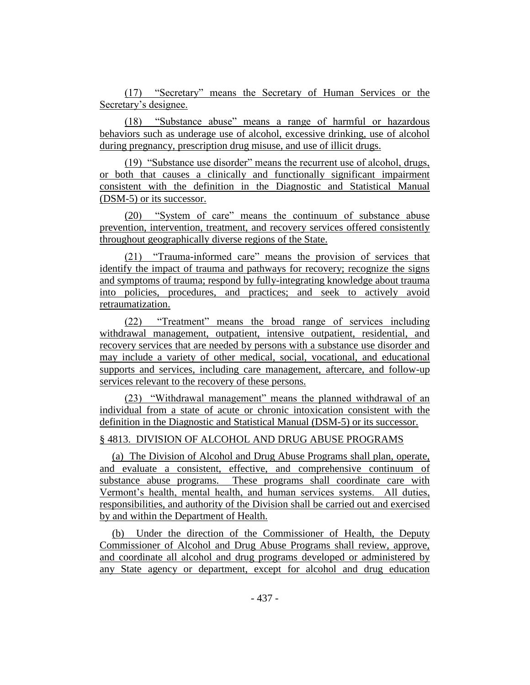(17) "Secretary" means the Secretary of Human Services or the Secretary's designee.

(18) "Substance abuse" means a range of harmful or hazardous behaviors such as underage use of alcohol, excessive drinking, use of alcohol during pregnancy, prescription drug misuse, and use of illicit drugs.

(19) "Substance use disorder" means the recurrent use of alcohol, drugs, or both that causes a clinically and functionally significant impairment consistent with the definition in the Diagnostic and Statistical Manual (DSM-5) or its successor.

(20) "System of care" means the continuum of substance abuse prevention, intervention, treatment, and recovery services offered consistently throughout geographically diverse regions of the State.

(21) "Trauma-informed care" means the provision of services that identify the impact of trauma and pathways for recovery; recognize the signs and symptoms of trauma; respond by fully-integrating knowledge about trauma into policies, procedures, and practices; and seek to actively avoid retraumatization.

(22) "Treatment" means the broad range of services including withdrawal management, outpatient, intensive outpatient, residential, and recovery services that are needed by persons with a substance use disorder and may include a variety of other medical, social, vocational, and educational supports and services, including care management, aftercare, and follow-up services relevant to the recovery of these persons.

(23) "Withdrawal management" means the planned withdrawal of an individual from a state of acute or chronic intoxication consistent with the definition in the Diagnostic and Statistical Manual (DSM-5) or its successor.

## § 4813. DIVISION OF ALCOHOL AND DRUG ABUSE PROGRAMS

(a) The Division of Alcohol and Drug Abuse Programs shall plan, operate, and evaluate a consistent, effective, and comprehensive continuum of substance abuse programs. These programs shall coordinate care with Vermont's health, mental health, and human services systems. All duties, responsibilities, and authority of the Division shall be carried out and exercised by and within the Department of Health.

(b) Under the direction of the Commissioner of Health, the Deputy Commissioner of Alcohol and Drug Abuse Programs shall review, approve, and coordinate all alcohol and drug programs developed or administered by any State agency or department, except for alcohol and drug education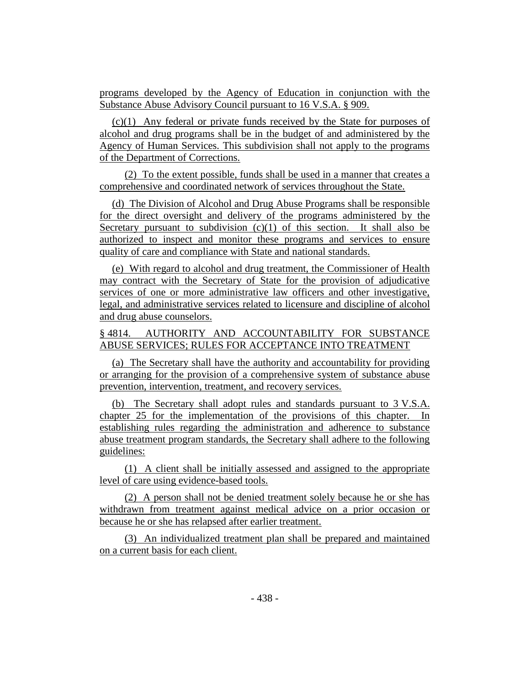programs developed by the Agency of Education in conjunction with the Substance Abuse Advisory Council pursuant to 16 V.S.A. § 909.

(c)(1) Any federal or private funds received by the State for purposes of alcohol and drug programs shall be in the budget of and administered by the Agency of Human Services. This subdivision shall not apply to the programs of the Department of Corrections.

(2) To the extent possible, funds shall be used in a manner that creates a comprehensive and coordinated network of services throughout the State.

(d) The Division of Alcohol and Drug Abuse Programs shall be responsible for the direct oversight and delivery of the programs administered by the Secretary pursuant to subdivision  $(c)(1)$  of this section. It shall also be authorized to inspect and monitor these programs and services to ensure quality of care and compliance with State and national standards.

(e) With regard to alcohol and drug treatment, the Commissioner of Health may contract with the Secretary of State for the provision of adjudicative services of one or more administrative law officers and other investigative, legal, and administrative services related to licensure and discipline of alcohol and drug abuse counselors.

## § 4814. AUTHORITY AND ACCOUNTABILITY FOR SUBSTANCE ABUSE SERVICES; RULES FOR ACCEPTANCE INTO TREATMENT

(a) The Secretary shall have the authority and accountability for providing or arranging for the provision of a comprehensive system of substance abuse prevention, intervention, treatment, and recovery services.

(b) The Secretary shall adopt rules and standards pursuant to 3 V.S.A. chapter 25 for the implementation of the provisions of this chapter. In establishing rules regarding the administration and adherence to substance abuse treatment program standards, the Secretary shall adhere to the following guidelines:

(1) A client shall be initially assessed and assigned to the appropriate level of care using evidence-based tools.

(2) A person shall not be denied treatment solely because he or she has withdrawn from treatment against medical advice on a prior occasion or because he or she has relapsed after earlier treatment.

(3) An individualized treatment plan shall be prepared and maintained on a current basis for each client.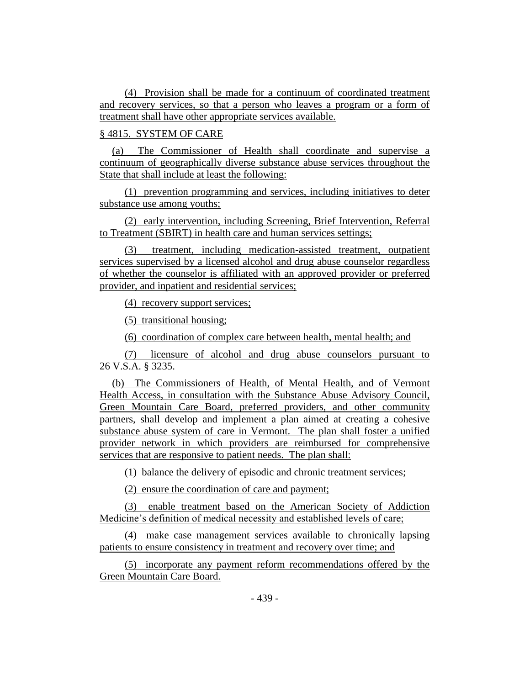(4) Provision shall be made for a continuum of coordinated treatment and recovery services, so that a person who leaves a program or a form of treatment shall have other appropriate services available.

## § 4815. SYSTEM OF CARE

(a) The Commissioner of Health shall coordinate and supervise a continuum of geographically diverse substance abuse services throughout the State that shall include at least the following:

(1) prevention programming and services, including initiatives to deter substance use among youths;

(2) early intervention, including Screening, Brief Intervention, Referral to Treatment (SBIRT) in health care and human services settings;

(3) treatment, including medication-assisted treatment, outpatient services supervised by a licensed alcohol and drug abuse counselor regardless of whether the counselor is affiliated with an approved provider or preferred provider, and inpatient and residential services;

(4) recovery support services;

(5) transitional housing;

(6) coordination of complex care between health, mental health; and

(7) licensure of alcohol and drug abuse counselors pursuant to 26 V.S.A. § 3235.

(b) The Commissioners of Health, of Mental Health, and of Vermont Health Access, in consultation with the Substance Abuse Advisory Council, Green Mountain Care Board, preferred providers, and other community partners, shall develop and implement a plan aimed at creating a cohesive substance abuse system of care in Vermont. The plan shall foster a unified provider network in which providers are reimbursed for comprehensive services that are responsive to patient needs. The plan shall:

(1) balance the delivery of episodic and chronic treatment services;

(2) ensure the coordination of care and payment;

(3) enable treatment based on the American Society of Addiction Medicine's definition of medical necessity and established levels of care;

(4) make case management services available to chronically lapsing patients to ensure consistency in treatment and recovery over time; and

(5) incorporate any payment reform recommendations offered by the Green Mountain Care Board.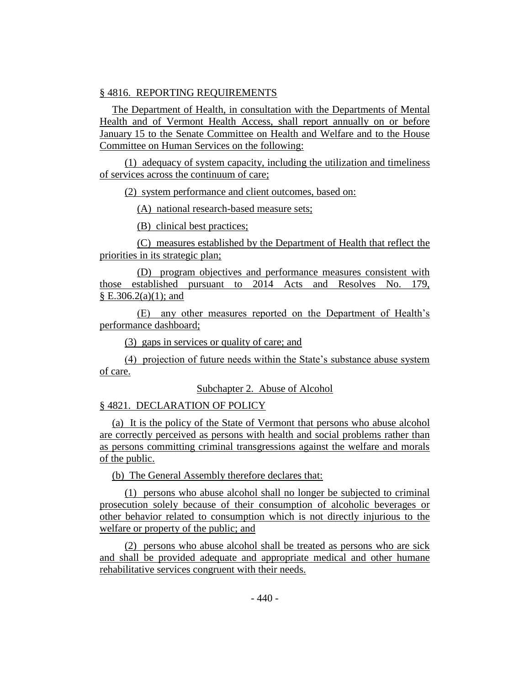## § 4816. REPORTING REQUIREMENTS

The Department of Health, in consultation with the Departments of Mental Health and of Vermont Health Access, shall report annually on or before January 15 to the Senate Committee on Health and Welfare and to the House Committee on Human Services on the following:

(1) adequacy of system capacity, including the utilization and timeliness of services across the continuum of care;

(2) system performance and client outcomes, based on:

(A) national research-based measure sets;

(B) clinical best practices;

(C) measures established by the Department of Health that reflect the priorities in its strategic plan;

(D) program objectives and performance measures consistent with those established pursuant to 2014 Acts and Resolves No. 179,  $\S E.306.2(a)(1)$ ; and

(E) any other measures reported on the Department of Health's performance dashboard;

(3) gaps in services or quality of care; and

(4) projection of future needs within the State's substance abuse system of care.

Subchapter 2. Abuse of Alcohol

§ 4821. DECLARATION OF POLICY

(a) It is the policy of the State of Vermont that persons who abuse alcohol are correctly perceived as persons with health and social problems rather than as persons committing criminal transgressions against the welfare and morals of the public.

(b) The General Assembly therefore declares that:

(1) persons who abuse alcohol shall no longer be subjected to criminal prosecution solely because of their consumption of alcoholic beverages or other behavior related to consumption which is not directly injurious to the welfare or property of the public; and

(2) persons who abuse alcohol shall be treated as persons who are sick and shall be provided adequate and appropriate medical and other humane rehabilitative services congruent with their needs.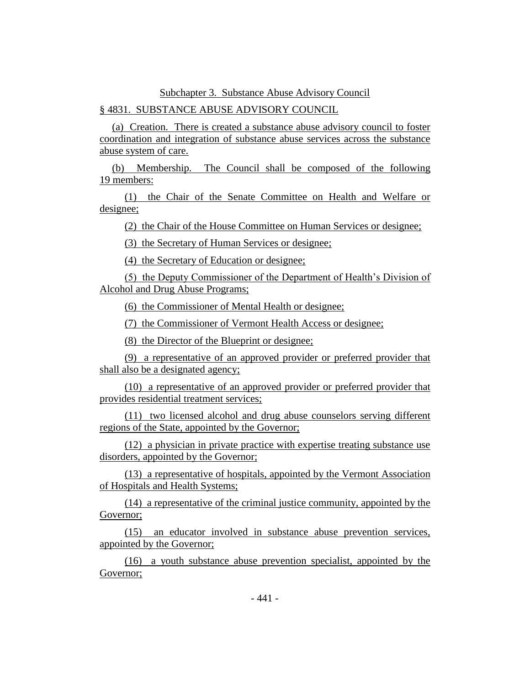## Subchapter 3. Substance Abuse Advisory Council

## § 4831. SUBSTANCE ABUSE ADVISORY COUNCIL

(a) Creation. There is created a substance abuse advisory council to foster coordination and integration of substance abuse services across the substance abuse system of care.

(b) Membership. The Council shall be composed of the following 19 members:

(1) the Chair of the Senate Committee on Health and Welfare or designee;

(2) the Chair of the House Committee on Human Services or designee;

(3) the Secretary of Human Services or designee;

(4) the Secretary of Education or designee;

(5) the Deputy Commissioner of the Department of Health's Division of Alcohol and Drug Abuse Programs;

(6) the Commissioner of Mental Health or designee;

(7) the Commissioner of Vermont Health Access or designee;

(8) the Director of the Blueprint or designee;

(9) a representative of an approved provider or preferred provider that shall also be a designated agency;

(10) a representative of an approved provider or preferred provider that provides residential treatment services;

(11) two licensed alcohol and drug abuse counselors serving different regions of the State, appointed by the Governor;

(12) a physician in private practice with expertise treating substance use disorders, appointed by the Governor;

(13) a representative of hospitals, appointed by the Vermont Association of Hospitals and Health Systems;

(14) a representative of the criminal justice community, appointed by the Governor;

(15) an educator involved in substance abuse prevention services, appointed by the Governor;

(16) a youth substance abuse prevention specialist, appointed by the Governor;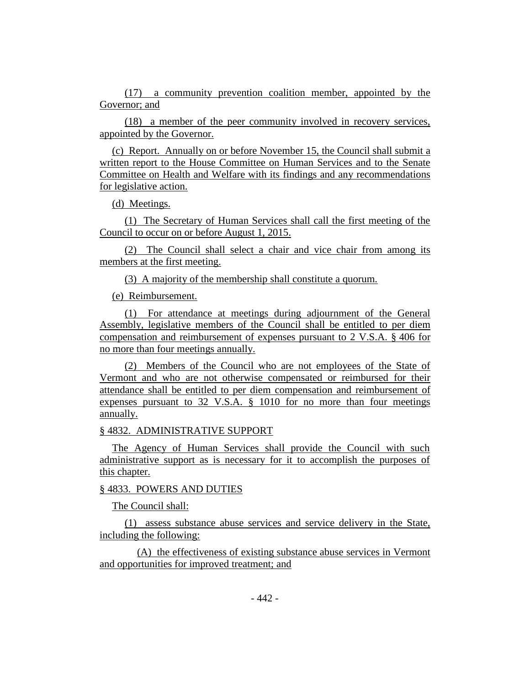(17) a community prevention coalition member, appointed by the Governor; and

(18) a member of the peer community involved in recovery services, appointed by the Governor.

(c) Report. Annually on or before November 15, the Council shall submit a written report to the House Committee on Human Services and to the Senate Committee on Health and Welfare with its findings and any recommendations for legislative action.

(d) Meetings.

(1) The Secretary of Human Services shall call the first meeting of the Council to occur on or before August 1, 2015.

(2) The Council shall select a chair and vice chair from among its members at the first meeting.

(3) A majority of the membership shall constitute a quorum.

(e) Reimbursement.

(1) For attendance at meetings during adjournment of the General Assembly, legislative members of the Council shall be entitled to per diem compensation and reimbursement of expenses pursuant to 2 V.S.A. § 406 for no more than four meetings annually.

(2) Members of the Council who are not employees of the State of Vermont and who are not otherwise compensated or reimbursed for their attendance shall be entitled to per diem compensation and reimbursement of expenses pursuant to 32 V.S.A. § 1010 for no more than four meetings annually.

## § 4832. ADMINISTRATIVE SUPPORT

The Agency of Human Services shall provide the Council with such administrative support as is necessary for it to accomplish the purposes of this chapter.

## § 4833. POWERS AND DUTIES

The Council shall:

(1) assess substance abuse services and service delivery in the State, including the following:

(A) the effectiveness of existing substance abuse services in Vermont and opportunities for improved treatment; and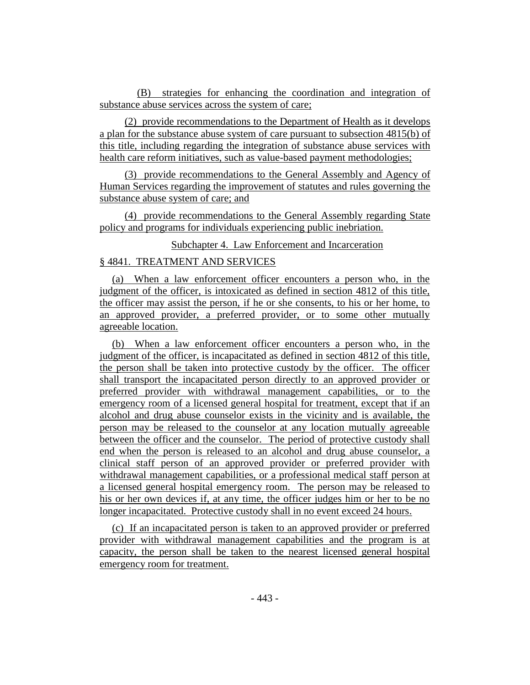(B) strategies for enhancing the coordination and integration of substance abuse services across the system of care;

(2) provide recommendations to the Department of Health as it develops a plan for the substance abuse system of care pursuant to subsection 4815(b) of this title, including regarding the integration of substance abuse services with health care reform initiatives, such as value-based payment methodologies;

(3) provide recommendations to the General Assembly and Agency of Human Services regarding the improvement of statutes and rules governing the substance abuse system of care; and

(4) provide recommendations to the General Assembly regarding State policy and programs for individuals experiencing public inebriation.

Subchapter 4. Law Enforcement and Incarceration

## § 4841. TREATMENT AND SERVICES

(a) When a law enforcement officer encounters a person who, in the judgment of the officer, is intoxicated as defined in section 4812 of this title, the officer may assist the person, if he or she consents, to his or her home, to an approved provider, a preferred provider, or to some other mutually agreeable location.

(b) When a law enforcement officer encounters a person who, in the judgment of the officer, is incapacitated as defined in section 4812 of this title, the person shall be taken into protective custody by the officer. The officer shall transport the incapacitated person directly to an approved provider or preferred provider with withdrawal management capabilities, or to the emergency room of a licensed general hospital for treatment, except that if an alcohol and drug abuse counselor exists in the vicinity and is available, the person may be released to the counselor at any location mutually agreeable between the officer and the counselor. The period of protective custody shall end when the person is released to an alcohol and drug abuse counselor, a clinical staff person of an approved provider or preferred provider with withdrawal management capabilities, or a professional medical staff person at a licensed general hospital emergency room. The person may be released to his or her own devices if, at any time, the officer judges him or her to be no longer incapacitated. Protective custody shall in no event exceed 24 hours.

(c) If an incapacitated person is taken to an approved provider or preferred provider with withdrawal management capabilities and the program is at capacity, the person shall be taken to the nearest licensed general hospital emergency room for treatment.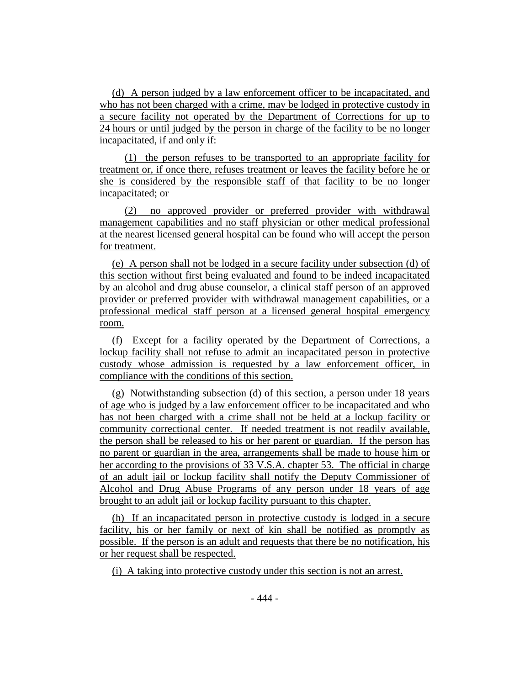(d) A person judged by a law enforcement officer to be incapacitated, and who has not been charged with a crime, may be lodged in protective custody in a secure facility not operated by the Department of Corrections for up to 24 hours or until judged by the person in charge of the facility to be no longer incapacitated, if and only if:

(1) the person refuses to be transported to an appropriate facility for treatment or, if once there, refuses treatment or leaves the facility before he or she is considered by the responsible staff of that facility to be no longer incapacitated; or

(2) no approved provider or preferred provider with withdrawal management capabilities and no staff physician or other medical professional at the nearest licensed general hospital can be found who will accept the person for treatment.

(e) A person shall not be lodged in a secure facility under subsection (d) of this section without first being evaluated and found to be indeed incapacitated by an alcohol and drug abuse counselor, a clinical staff person of an approved provider or preferred provider with withdrawal management capabilities, or a professional medical staff person at a licensed general hospital emergency room.

(f) Except for a facility operated by the Department of Corrections, a lockup facility shall not refuse to admit an incapacitated person in protective custody whose admission is requested by a law enforcement officer, in compliance with the conditions of this section.

(g) Notwithstanding subsection (d) of this section, a person under 18 years of age who is judged by a law enforcement officer to be incapacitated and who has not been charged with a crime shall not be held at a lockup facility or community correctional center. If needed treatment is not readily available, the person shall be released to his or her parent or guardian. If the person has no parent or guardian in the area, arrangements shall be made to house him or her according to the provisions of 33 V.S.A. chapter 53. The official in charge of an adult jail or lockup facility shall notify the Deputy Commissioner of Alcohol and Drug Abuse Programs of any person under 18 years of age brought to an adult jail or lockup facility pursuant to this chapter.

(h) If an incapacitated person in protective custody is lodged in a secure facility, his or her family or next of kin shall be notified as promptly as possible. If the person is an adult and requests that there be no notification, his or her request shall be respected.

(i) A taking into protective custody under this section is not an arrest.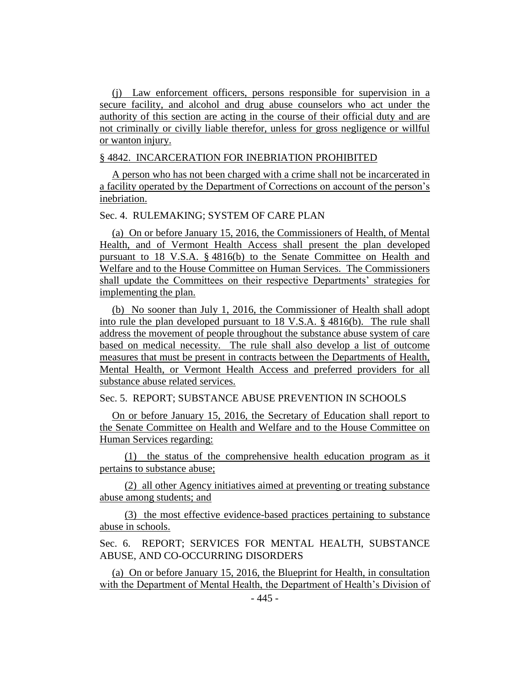(j) Law enforcement officers, persons responsible for supervision in a secure facility, and alcohol and drug abuse counselors who act under the authority of this section are acting in the course of their official duty and are not criminally or civilly liable therefor, unless for gross negligence or willful or wanton injury.

## § 4842. INCARCERATION FOR INEBRIATION PROHIBITED

A person who has not been charged with a crime shall not be incarcerated in a facility operated by the Department of Corrections on account of the person's inebriation.

Sec. 4. RULEMAKING; SYSTEM OF CARE PLAN

(a) On or before January 15, 2016, the Commissioners of Health, of Mental Health, and of Vermont Health Access shall present the plan developed pursuant to 18 V.S.A. § 4816(b) to the Senate Committee on Health and Welfare and to the House Committee on Human Services. The Commissioners shall update the Committees on their respective Departments' strategies for implementing the plan.

(b) No sooner than July 1, 2016, the Commissioner of Health shall adopt into rule the plan developed pursuant to 18 V.S.A. § 4816(b). The rule shall address the movement of people throughout the substance abuse system of care based on medical necessity. The rule shall also develop a list of outcome measures that must be present in contracts between the Departments of Health, Mental Health, or Vermont Health Access and preferred providers for all substance abuse related services.

## Sec. 5. REPORT; SUBSTANCE ABUSE PREVENTION IN SCHOOLS

On or before January 15, 2016, the Secretary of Education shall report to the Senate Committee on Health and Welfare and to the House Committee on Human Services regarding:

(1) the status of the comprehensive health education program as it pertains to substance abuse;

(2) all other Agency initiatives aimed at preventing or treating substance abuse among students; and

(3) the most effective evidence-based practices pertaining to substance abuse in schools.

Sec. 6. REPORT; SERVICES FOR MENTAL HEALTH, SUBSTANCE ABUSE, AND CO-OCCURRING DISORDERS

(a) On or before January 15, 2016, the Blueprint for Health, in consultation with the Department of Mental Health, the Department of Health's Division of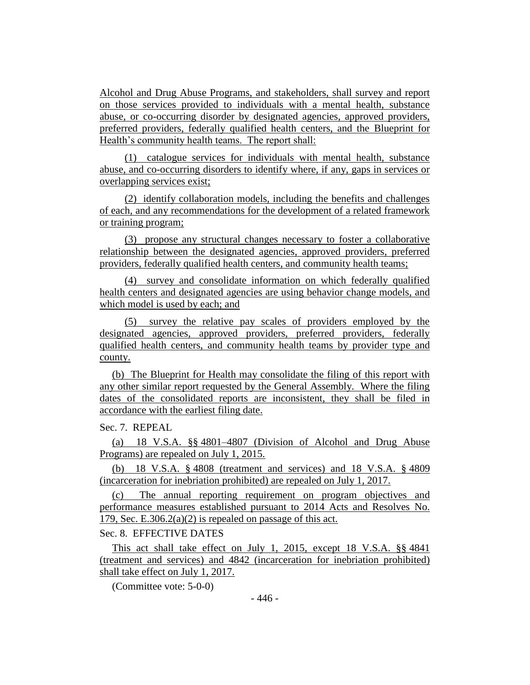Alcohol and Drug Abuse Programs, and stakeholders, shall survey and report on those services provided to individuals with a mental health, substance abuse, or co-occurring disorder by designated agencies, approved providers, preferred providers, federally qualified health centers, and the Blueprint for Health's community health teams. The report shall:

(1) catalogue services for individuals with mental health, substance abuse, and co-occurring disorders to identify where, if any, gaps in services or overlapping services exist;

(2) identify collaboration models, including the benefits and challenges of each, and any recommendations for the development of a related framework or training program;

(3) propose any structural changes necessary to foster a collaborative relationship between the designated agencies, approved providers, preferred providers, federally qualified health centers, and community health teams;

(4) survey and consolidate information on which federally qualified health centers and designated agencies are using behavior change models, and which model is used by each; and

(5) survey the relative pay scales of providers employed by the designated agencies, approved providers, preferred providers, federally qualified health centers, and community health teams by provider type and county.

(b) The Blueprint for Health may consolidate the filing of this report with any other similar report requested by the General Assembly. Where the filing dates of the consolidated reports are inconsistent, they shall be filed in accordance with the earliest filing date.

Sec. 7. REPEAL

(a) 18 V.S.A. §§ 4801–4807 (Division of Alcohol and Drug Abuse Programs) are repealed on July 1, 2015.

(b) 18 V.S.A. § 4808 (treatment and services) and 18 V.S.A. § 4809 (incarceration for inebriation prohibited) are repealed on July 1, 2017.

(c) The annual reporting requirement on program objectives and performance measures established pursuant to 2014 Acts and Resolves No. 179, Sec. E.306.2(a)(2) is repealed on passage of this act.

Sec. 8. EFFECTIVE DATES

This act shall take effect on July 1, 2015, except 18 V.S.A. §§ 4841 (treatment and services) and 4842 (incarceration for inebriation prohibited) shall take effect on July 1, 2017.

(Committee vote: 5-0-0)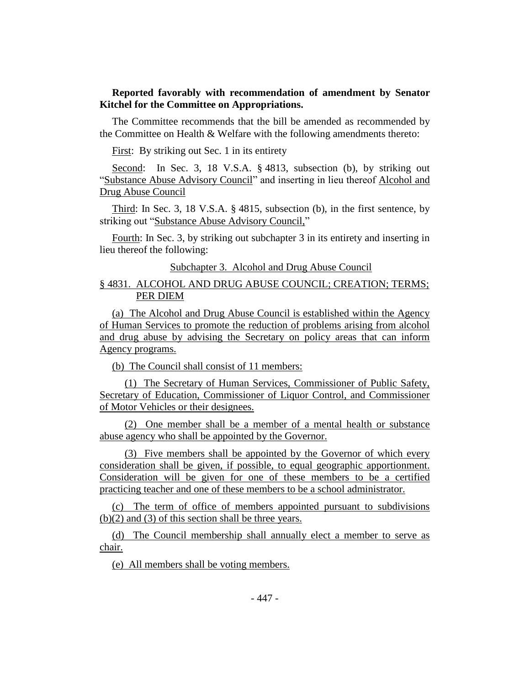## **Reported favorably with recommendation of amendment by Senator Kitchel for the Committee on Appropriations.**

The Committee recommends that the bill be amended as recommended by the Committee on Health & Welfare with the following amendments thereto:

First: By striking out Sec. 1 in its entirety

Second: In Sec. 3, 18 V.S.A. § 4813, subsection (b), by striking out "Substance Abuse Advisory Council" and inserting in lieu thereof Alcohol and Drug Abuse Council

Third: In Sec. 3, 18 V.S.A. § 4815, subsection (b), in the first sentence, by striking out "Substance Abuse Advisory Council,"

Fourth: In Sec. 3, by striking out subchapter 3 in its entirety and inserting in lieu thereof the following:

Subchapter 3. Alcohol and Drug Abuse Council

## § 4831. ALCOHOL AND DRUG ABUSE COUNCIL; CREATION; TERMS; PER DIEM

(a) The Alcohol and Drug Abuse Council is established within the Agency of Human Services to promote the reduction of problems arising from alcohol and drug abuse by advising the Secretary on policy areas that can inform Agency programs.

(b) The Council shall consist of 11 members:

(1) The Secretary of Human Services, Commissioner of Public Safety, Secretary of Education, Commissioner of Liquor Control, and Commissioner of Motor Vehicles or their designees.

(2) One member shall be a member of a mental health or substance abuse agency who shall be appointed by the Governor.

(3) Five members shall be appointed by the Governor of which every consideration shall be given, if possible, to equal geographic apportionment. Consideration will be given for one of these members to be a certified practicing teacher and one of these members to be a school administrator.

(c) The term of office of members appointed pursuant to subdivisions (b)(2) and (3) of this section shall be three years.

(d) The Council membership shall annually elect a member to serve as chair.

(e) All members shall be voting members.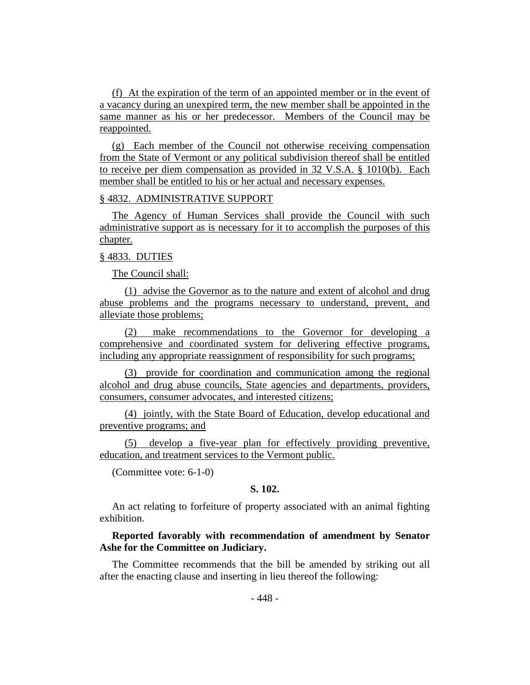(f) At the expiration of the term of an appointed member or in the event of a vacancy during an unexpired term, the new member shall be appointed in the same manner as his or her predecessor. Members of the Council may be reappointed.

(g) Each member of the Council not otherwise receiving compensation from the State of Vermont or any political subdivision thereof shall be entitled to receive per diem compensation as provided in 32 V.S.A. § 1010(b). Each member shall be entitled to his or her actual and necessary expenses.

#### § 4832. ADMINISTRATIVE SUPPORT

The Agency of Human Services shall provide the Council with such administrative support as is necessary for it to accomplish the purposes of this chapter.

## § 4833. DUTIES

The Council shall:

(1) advise the Governor as to the nature and extent of alcohol and drug abuse problems and the programs necessary to understand, prevent, and alleviate those problems;

(2) make recommendations to the Governor for developing a comprehensive and coordinated system for delivering effective programs, including any appropriate reassignment of responsibility for such programs;

(3) provide for coordination and communication among the regional alcohol and drug abuse councils, State agencies and departments, providers, consumers, consumer advocates, and interested citizens;

(4) jointly, with the State Board of Education, develop educational and preventive programs; and

(5) develop a five-year plan for effectively providing preventive, education, and treatment services to the Vermont public.

(Committee vote: 6-1-0)

#### **S. 102.**

An act relating to forfeiture of property associated with an animal fighting exhibition.

## **Reported favorably with recommendation of amendment by Senator Ashe for the Committee on Judiciary.**

The Committee recommends that the bill be amended by striking out all after the enacting clause and inserting in lieu thereof the following: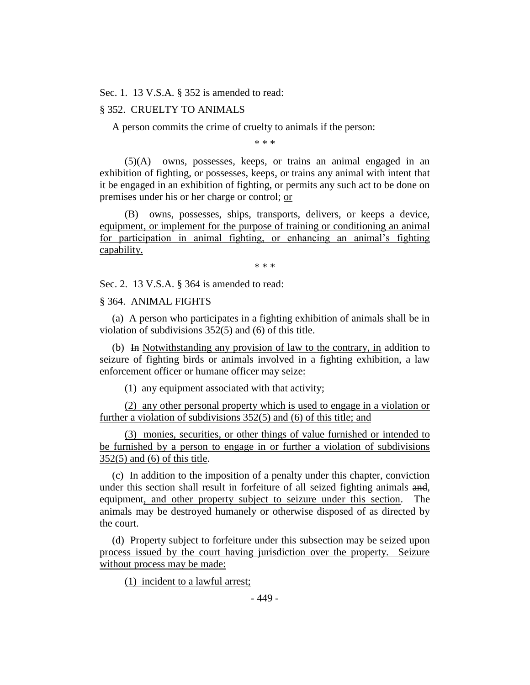Sec. 1. 13 V.S.A. § 352 is amended to read:

#### § 352. CRUELTY TO ANIMALS

A person commits the crime of cruelty to animals if the person:

\* \* \*

 $(5)(A)$  owns, possesses, keeps, or trains an animal engaged in an exhibition of fighting, or possesses, keeps, or trains any animal with intent that it be engaged in an exhibition of fighting, or permits any such act to be done on premises under his or her charge or control; or

(B) owns, possesses, ships, transports, delivers, or keeps a device, equipment, or implement for the purpose of training or conditioning an animal for participation in animal fighting, or enhancing an animal's fighting capability.

\* \* \*

Sec. 2. 13 V.S.A. § 364 is amended to read:

§ 364. ANIMAL FIGHTS

(a) A person who participates in a fighting exhibition of animals shall be in violation of subdivisions 352(5) and (6) of this title.

(b) In Notwithstanding any provision of law to the contrary, in addition to seizure of fighting birds or animals involved in a fighting exhibition, a law enforcement officer or humane officer may seize:

(1) any equipment associated with that activity;

(2) any other personal property which is used to engage in a violation or further a violation of subdivisions 352(5) and (6) of this title; and

(3) monies, securities, or other things of value furnished or intended to be furnished by a person to engage in or further a violation of subdivisions 352(5) and (6) of this title.

(c) In addition to the imposition of a penalty under this chapter, conviction under this section shall result in forfeiture of all seized fighting animals and, equipment, and other property subject to seizure under this section. The animals may be destroyed humanely or otherwise disposed of as directed by the court.

(d) Property subject to forfeiture under this subsection may be seized upon process issued by the court having jurisdiction over the property. Seizure without process may be made:

(1) incident to a lawful arrest;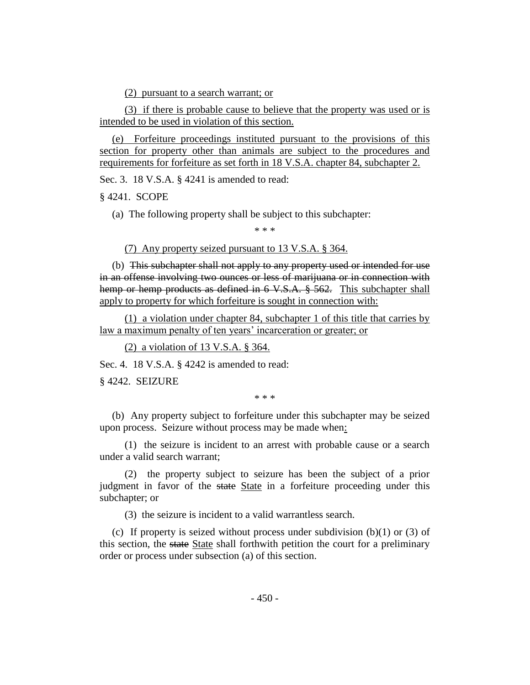(2) pursuant to a search warrant; or

(3) if there is probable cause to believe that the property was used or is intended to be used in violation of this section.

(e) Forfeiture proceedings instituted pursuant to the provisions of this section for property other than animals are subject to the procedures and requirements for forfeiture as set forth in 18 V.S.A. chapter 84, subchapter 2.

Sec. 3. 18 V.S.A. § 4241 is amended to read:

§ 4241. SCOPE

(a) The following property shall be subject to this subchapter:

\* \* \*

(7) Any property seized pursuant to 13 V.S.A. § 364.

(b) This subchapter shall not apply to any property used or intended for use in an offense involving two ounces or less of marijuana or in connection with hemp or hemp products as defined in 6 V.S.A. § 562. This subchapter shall apply to property for which forfeiture is sought in connection with:

(1) a violation under chapter 84, subchapter 1 of this title that carries by law a maximum penalty of ten years' incarceration or greater; or

(2) a violation of 13 V.S.A. § 364.

Sec. 4. 18 V.S.A. § 4242 is amended to read:

§ 4242. SEIZURE

\* \* \*

(b) Any property subject to forfeiture under this subchapter may be seized upon process. Seizure without process may be made when:

(1) the seizure is incident to an arrest with probable cause or a search under a valid search warrant;

(2) the property subject to seizure has been the subject of a prior judgment in favor of the state State in a forfeiture proceeding under this subchapter; or

(3) the seizure is incident to a valid warrantless search.

(c) If property is seized without process under subdivision  $(b)(1)$  or  $(3)$  of this section, the state State shall forthwith petition the court for a preliminary order or process under subsection (a) of this section.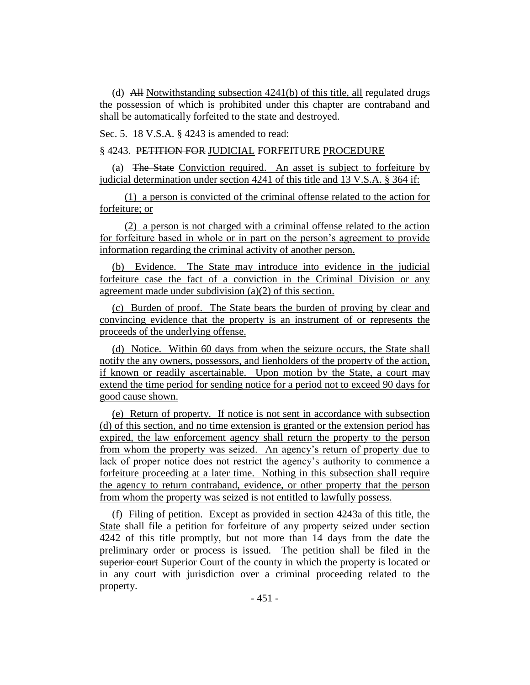(d) All Notwithstanding subsection 4241(b) of this title, all regulated drugs the possession of which is prohibited under this chapter are contraband and shall be automatically forfeited to the state and destroyed.

Sec. 5. 18 V.S.A. § 4243 is amended to read:

## § 4243. PETITION FOR JUDICIAL FORFEITURE PROCEDURE

(a) The State Conviction required. An asset is subject to forfeiture by iudicial determination under section 4241 of this title and  $13$  V.S.A. § 364 if:

(1) a person is convicted of the criminal offense related to the action for forfeiture; or

(2) a person is not charged with a criminal offense related to the action for forfeiture based in whole or in part on the person's agreement to provide information regarding the criminal activity of another person.

(b) Evidence. The State may introduce into evidence in the judicial forfeiture case the fact of a conviction in the Criminal Division or any agreement made under subdivision (a)(2) of this section.

(c) Burden of proof. The State bears the burden of proving by clear and convincing evidence that the property is an instrument of or represents the proceeds of the underlying offense.

(d) Notice. Within 60 days from when the seizure occurs, the State shall notify the any owners, possessors, and lienholders of the property of the action, if known or readily ascertainable. Upon motion by the State, a court may extend the time period for sending notice for a period not to exceed 90 days for good cause shown.

(e) Return of property. If notice is not sent in accordance with subsection (d) of this section, and no time extension is granted or the extension period has expired, the law enforcement agency shall return the property to the person from whom the property was seized. An agency's return of property due to lack of proper notice does not restrict the agency's authority to commence a forfeiture proceeding at a later time. Nothing in this subsection shall require the agency to return contraband, evidence, or other property that the person from whom the property was seized is not entitled to lawfully possess.

(f) Filing of petition. Except as provided in section 4243a of this title, the State shall file a petition for forfeiture of any property seized under section 4242 of this title promptly, but not more than 14 days from the date the preliminary order or process is issued. The petition shall be filed in the superior court Superior Court of the county in which the property is located or in any court with jurisdiction over a criminal proceeding related to the property.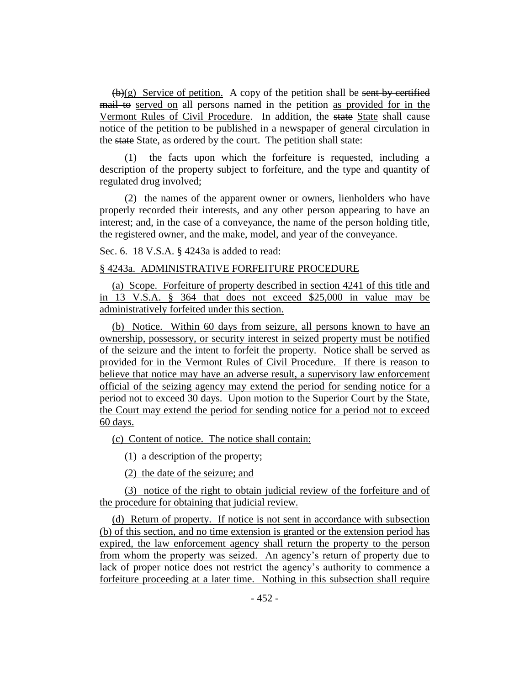$(\mathbf{b})(g)$  Service of petition. A copy of the petition shall be sent by certified mail to served on all persons named in the petition as provided for in the Vermont Rules of Civil Procedure. In addition, the state State shall cause notice of the petition to be published in a newspaper of general circulation in the state State, as ordered by the court. The petition shall state:

(1) the facts upon which the forfeiture is requested, including a description of the property subject to forfeiture, and the type and quantity of regulated drug involved;

(2) the names of the apparent owner or owners, lienholders who have properly recorded their interests, and any other person appearing to have an interest; and, in the case of a conveyance, the name of the person holding title, the registered owner, and the make, model, and year of the conveyance.

Sec. 6. 18 V.S.A. § 4243a is added to read:

#### § 4243a. ADMINISTRATIVE FORFEITURE PROCEDURE

(a) Scope. Forfeiture of property described in section 4241 of this title and in 13 V.S.A. § 364 that does not exceed \$25,000 in value may be administratively forfeited under this section.

(b) Notice. Within 60 days from seizure, all persons known to have an ownership, possessory, or security interest in seized property must be notified of the seizure and the intent to forfeit the property. Notice shall be served as provided for in the Vermont Rules of Civil Procedure. If there is reason to believe that notice may have an adverse result, a supervisory law enforcement official of the seizing agency may extend the period for sending notice for a period not to exceed 30 days. Upon motion to the Superior Court by the State, the Court may extend the period for sending notice for a period not to exceed 60 days.

(c) Content of notice. The notice shall contain:

(1) a description of the property;

(2) the date of the seizure; and

(3) notice of the right to obtain judicial review of the forfeiture and of the procedure for obtaining that judicial review.

(d) Return of property. If notice is not sent in accordance with subsection (b) of this section, and no time extension is granted or the extension period has expired, the law enforcement agency shall return the property to the person from whom the property was seized. An agency's return of property due to lack of proper notice does not restrict the agency's authority to commence a forfeiture proceeding at a later time. Nothing in this subsection shall require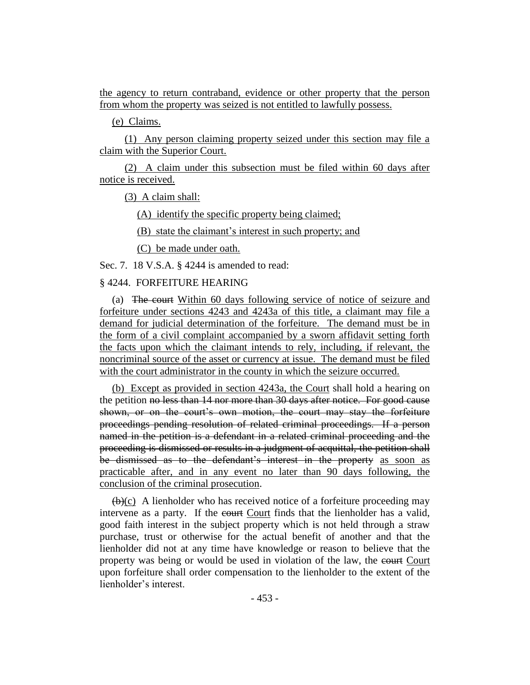the agency to return contraband, evidence or other property that the person from whom the property was seized is not entitled to lawfully possess.

(e) Claims.

(1) Any person claiming property seized under this section may file a claim with the Superior Court.

(2) A claim under this subsection must be filed within 60 days after notice is received.

(3) A claim shall:

(A) identify the specific property being claimed;

(B) state the claimant's interest in such property; and

(C) be made under oath.

Sec. 7. 18 V.S.A. § 4244 is amended to read:

## § 4244. FORFEITURE HEARING

(a) The court Within 60 days following service of notice of seizure and forfeiture under sections 4243 and 4243a of this title, a claimant may file a demand for judicial determination of the forfeiture. The demand must be in the form of a civil complaint accompanied by a sworn affidavit setting forth the facts upon which the claimant intends to rely, including, if relevant, the noncriminal source of the asset or currency at issue. The demand must be filed with the court administrator in the county in which the seizure occurred.

(b) Except as provided in section 4243a, the Court shall hold a hearing on the petition no less than 14 nor more than 30 days after notice. For good cause shown, or on the court's own motion, the court may stay the forfeiture proceedings pending resolution of related criminal proceedings. If a person named in the petition is a defendant in a related criminal proceeding and the proceeding is dismissed or results in a judgment of acquittal, the petition shall be dismissed as to the defendant's interest in the property as soon as practicable after, and in any event no later than 90 days following, the conclusion of the criminal prosecution.

 $(\theta)(c)$  A lienholder who has received notice of a forfeiture proceeding may intervene as a party. If the court Court finds that the lienholder has a valid, good faith interest in the subject property which is not held through a straw purchase, trust or otherwise for the actual benefit of another and that the lienholder did not at any time have knowledge or reason to believe that the property was being or would be used in violation of the law, the court Court upon forfeiture shall order compensation to the lienholder to the extent of the lienholder's interest.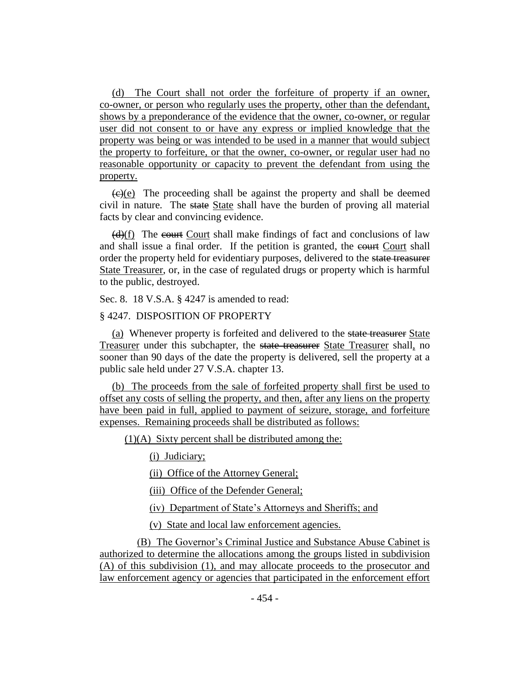(d) The Court shall not order the forfeiture of property if an owner, co-owner, or person who regularly uses the property, other than the defendant, shows by a preponderance of the evidence that the owner, co-owner, or regular user did not consent to or have any express or implied knowledge that the property was being or was intended to be used in a manner that would subject the property to forfeiture, or that the owner, co-owner, or regular user had no reasonable opportunity or capacity to prevent the defendant from using the property.

 $\left(\frac{f(x)}{g(x)}\right)$ . The proceeding shall be against the property and shall be deemed civil in nature. The state State shall have the burden of proving all material facts by clear and convincing evidence.

(d)(f) The court Court shall make findings of fact and conclusions of law and shall issue a final order. If the petition is granted, the court Court shall order the property held for evidentiary purposes, delivered to the state treasurer State Treasurer, or, in the case of regulated drugs or property which is harmful to the public, destroyed.

Sec. 8. 18 V.S.A. § 4247 is amended to read:

## § 4247. DISPOSITION OF PROPERTY

(a) Whenever property is forfeited and delivered to the state treasurer State Treasurer under this subchapter, the state treasurer State Treasurer shall, no sooner than 90 days of the date the property is delivered, sell the property at a public sale held under 27 V.S.A. chapter 13.

(b) The proceeds from the sale of forfeited property shall first be used to offset any costs of selling the property, and then, after any liens on the property have been paid in full, applied to payment of seizure, storage, and forfeiture expenses. Remaining proceeds shall be distributed as follows:

(1)(A) Sixty percent shall be distributed among the:

(i) Judiciary;

(ii) Office of the Attorney General;

(iii) Office of the Defender General;

(iv) Department of State's Attorneys and Sheriffs; and

(v) State and local law enforcement agencies.

(B) The Governor's Criminal Justice and Substance Abuse Cabinet is authorized to determine the allocations among the groups listed in subdivision (A) of this subdivision (1), and may allocate proceeds to the prosecutor and law enforcement agency or agencies that participated in the enforcement effort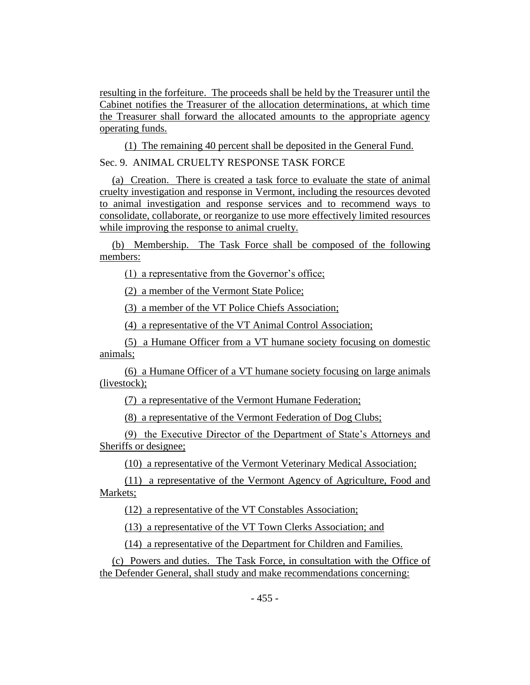resulting in the forfeiture. The proceeds shall be held by the Treasurer until the Cabinet notifies the Treasurer of the allocation determinations, at which time the Treasurer shall forward the allocated amounts to the appropriate agency operating funds.

(1) The remaining 40 percent shall be deposited in the General Fund.

Sec. 9. ANIMAL CRUELTY RESPONSE TASK FORCE

(a) Creation. There is created a task force to evaluate the state of animal cruelty investigation and response in Vermont, including the resources devoted to animal investigation and response services and to recommend ways to consolidate, collaborate, or reorganize to use more effectively limited resources while improving the response to animal cruelty.

(b) Membership. The Task Force shall be composed of the following members:

(1) a representative from the Governor's office;

(2) a member of the Vermont State Police;

(3) a member of the VT Police Chiefs Association;

(4) a representative of the VT Animal Control Association;

(5) a Humane Officer from a VT humane society focusing on domestic animals;

(6) a Humane Officer of a VT humane society focusing on large animals (livestock);

(7) a representative of the Vermont Humane Federation;

(8) a representative of the Vermont Federation of Dog Clubs;

(9) the Executive Director of the Department of State's Attorneys and Sheriffs or designee;

(10) a representative of the Vermont Veterinary Medical Association;

(11) a representative of the Vermont Agency of Agriculture, Food and Markets;

(12) a representative of the VT Constables Association;

(13) a representative of the VT Town Clerks Association; and

(14) a representative of the Department for Children and Families.

(c) Powers and duties. The Task Force, in consultation with the Office of the Defender General, shall study and make recommendations concerning: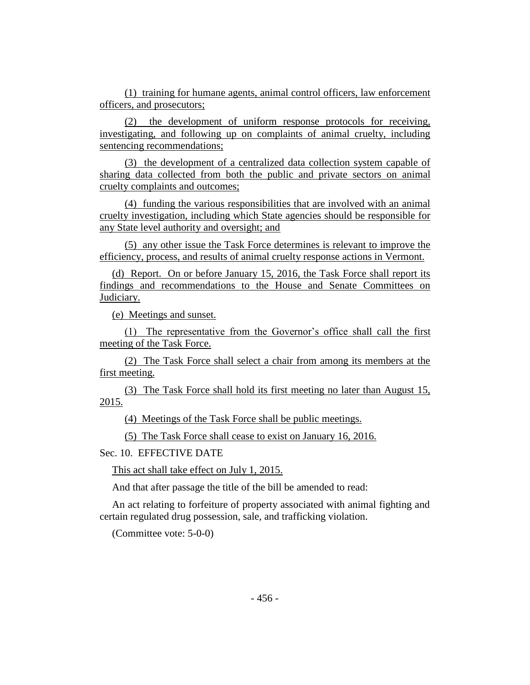(1) training for humane agents, animal control officers, law enforcement officers, and prosecutors;

(2) the development of uniform response protocols for receiving, investigating, and following up on complaints of animal cruelty, including sentencing recommendations;

(3) the development of a centralized data collection system capable of sharing data collected from both the public and private sectors on animal cruelty complaints and outcomes;

(4) funding the various responsibilities that are involved with an animal cruelty investigation, including which State agencies should be responsible for any State level authority and oversight; and

(5) any other issue the Task Force determines is relevant to improve the efficiency, process, and results of animal cruelty response actions in Vermont.

(d) Report. On or before January 15, 2016, the Task Force shall report its findings and recommendations to the House and Senate Committees on Judiciary.

(e) Meetings and sunset.

(1) The representative from the Governor's office shall call the first meeting of the Task Force.

(2) The Task Force shall select a chair from among its members at the first meeting.

(3) The Task Force shall hold its first meeting no later than August 15, 2015.

(4) Meetings of the Task Force shall be public meetings.

(5) The Task Force shall cease to exist on January 16, 2016.

Sec. 10. EFFECTIVE DATE

This act shall take effect on July 1, 2015.

And that after passage the title of the bill be amended to read:

An act relating to forfeiture of property associated with animal fighting and certain regulated drug possession, sale, and trafficking violation.

(Committee vote: 5-0-0)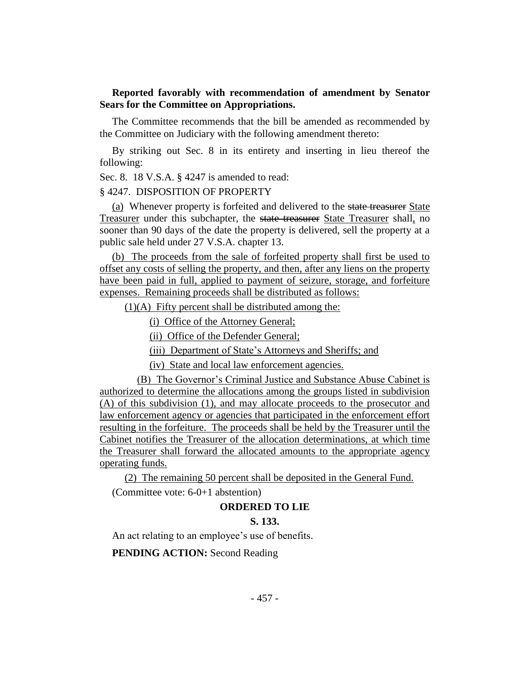## **Reported favorably with recommendation of amendment by Senator Sears for the Committee on Appropriations.**

The Committee recommends that the bill be amended as recommended by the Committee on Judiciary with the following amendment thereto:

By striking out Sec. 8 in its entirety and inserting in lieu thereof the following:

Sec. 8. 18 V.S.A. § 4247 is amended to read:

#### § 4247. DISPOSITION OF PROPERTY

(a) Whenever property is forfeited and delivered to the state treasurer State Treasurer under this subchapter, the state treasurer State Treasurer shall, no sooner than 90 days of the date the property is delivered, sell the property at a public sale held under 27 V.S.A. chapter 13.

(b) The proceeds from the sale of forfeited property shall first be used to offset any costs of selling the property, and then, after any liens on the property have been paid in full, applied to payment of seizure, storage, and forfeiture expenses. Remaining proceeds shall be distributed as follows:

(1)(A) Fifty percent shall be distributed among the:

(i) Office of the Attorney General;

(ii) Office of the Defender General;

(iii) Department of State's Attorneys and Sheriffs; and

(iv) State and local law enforcement agencies.

(B) The Governor's Criminal Justice and Substance Abuse Cabinet is authorized to determine the allocations among the groups listed in subdivision (A) of this subdivision (1), and may allocate proceeds to the prosecutor and law enforcement agency or agencies that participated in the enforcement effort resulting in the forfeiture. The proceeds shall be held by the Treasurer until the Cabinet notifies the Treasurer of the allocation determinations, at which time the Treasurer shall forward the allocated amounts to the appropriate agency operating funds.

(2) The remaining 50 percent shall be deposited in the General Fund. (Committee vote: 6-0+1 abstention)

#### **ORDERED TO LIE**

#### **S. 133.**

An act relating to an employee's use of benefits.

**PENDING ACTION:** Second Reading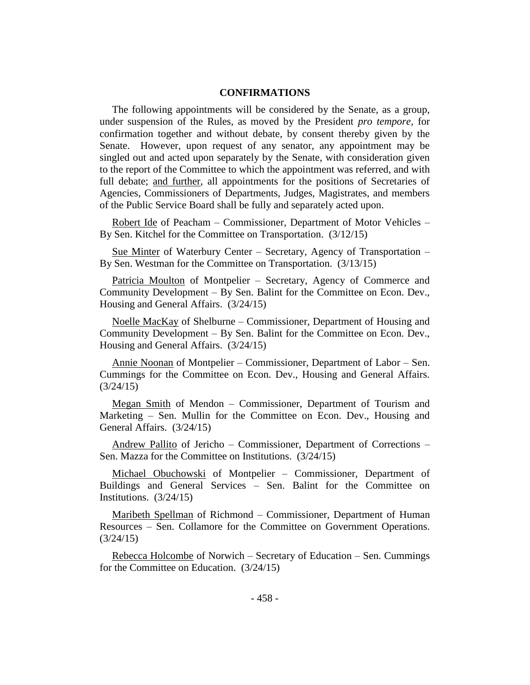## **CONFIRMATIONS**

The following appointments will be considered by the Senate, as a group, under suspension of the Rules, as moved by the President *pro tempore,* for confirmation together and without debate, by consent thereby given by the Senate. However, upon request of any senator, any appointment may be singled out and acted upon separately by the Senate, with consideration given to the report of the Committee to which the appointment was referred, and with full debate; and further, all appointments for the positions of Secretaries of Agencies, Commissioners of Departments, Judges, Magistrates, and members of the Public Service Board shall be fully and separately acted upon.

Robert Ide of Peacham – Commissioner, Department of Motor Vehicles – By Sen. Kitchel for the Committee on Transportation. (3/12/15)

Sue Minter of Waterbury Center – Secretary, Agency of Transportation – By Sen. Westman for the Committee on Transportation. (3/13/15)

Patricia Moulton of Montpelier - Secretary, Agency of Commerce and Community Development – By Sen. Balint for the Committee on Econ. Dev., Housing and General Affairs. (3/24/15)

Noelle MacKay of Shelburne – Commissioner, Department of Housing and Community Development – By Sen. Balint for the Committee on Econ. Dev., Housing and General Affairs. (3/24/15)

Annie Noonan of Montpelier – Commissioner, Department of Labor – Sen. Cummings for the Committee on Econ. Dev., Housing and General Affairs. (3/24/15)

Megan Smith of Mendon – Commissioner, Department of Tourism and Marketing – Sen. Mullin for the Committee on Econ. Dev., Housing and General Affairs. (3/24/15)

Andrew Pallito of Jericho – Commissioner, Department of Corrections – Sen. Mazza for the Committee on Institutions. (3/24/15)

Michael Obuchowski of Montpelier – Commissioner, Department of Buildings and General Services – Sen. Balint for the Committee on Institutions. (3/24/15)

Maribeth Spellman of Richmond – Commissioner, Department of Human Resources – Sen. Collamore for the Committee on Government Operations.  $(3/24/15)$ 

Rebecca Holcombe of Norwich – Secretary of Education – Sen. Cummings for the Committee on Education. (3/24/15)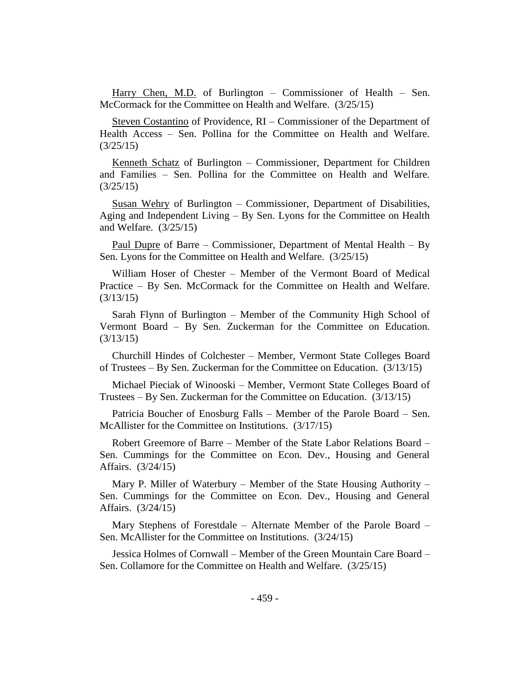Harry Chen, M.D. of Burlington – Commissioner of Health – Sen. McCormack for the Committee on Health and Welfare. (3/25/15)

Steven Costantino of Providence, RI – Commissioner of the Department of Health Access – Sen. Pollina for the Committee on Health and Welfare. (3/25/15)

Kenneth Schatz of Burlington – Commissioner, Department for Children and Families – Sen. Pollina for the Committee on Health and Welfare. (3/25/15)

Susan Wehry of Burlington – Commissioner, Department of Disabilities, Aging and Independent Living – By Sen. Lyons for the Committee on Health and Welfare. (3/25/15)

Paul Dupre of Barre – Commissioner, Department of Mental Health – By Sen. Lyons for the Committee on Health and Welfare. (3/25/15)

William Hoser of Chester – Member of the Vermont Board of Medical Practice – By Sen. McCormack for the Committee on Health and Welfare. (3/13/15)

Sarah Flynn of Burlington – Member of the Community High School of Vermont Board – By Sen. Zuckerman for the Committee on Education. (3/13/15)

Churchill Hindes of Colchester – Member, Vermont State Colleges Board of Trustees – By Sen. Zuckerman for the Committee on Education. (3/13/15)

Michael Pieciak of Winooski – Member, Vermont State Colleges Board of Trustees – By Sen. Zuckerman for the Committee on Education. (3/13/15)

Patricia Boucher of Enosburg Falls – Member of the Parole Board – Sen. McAllister for the Committee on Institutions. (3/17/15)

Robert Greemore of Barre – Member of the State Labor Relations Board – Sen. Cummings for the Committee on Econ. Dev., Housing and General Affairs. (3/24/15)

Mary P. Miller of Waterbury – Member of the State Housing Authority – Sen. Cummings for the Committee on Econ. Dev., Housing and General Affairs. (3/24/15)

Mary Stephens of Forestdale – Alternate Member of the Parole Board – Sen. McAllister for the Committee on Institutions. (3/24/15)

Jessica Holmes of Cornwall – Member of the Green Mountain Care Board – Sen. Collamore for the Committee on Health and Welfare. (3/25/15)